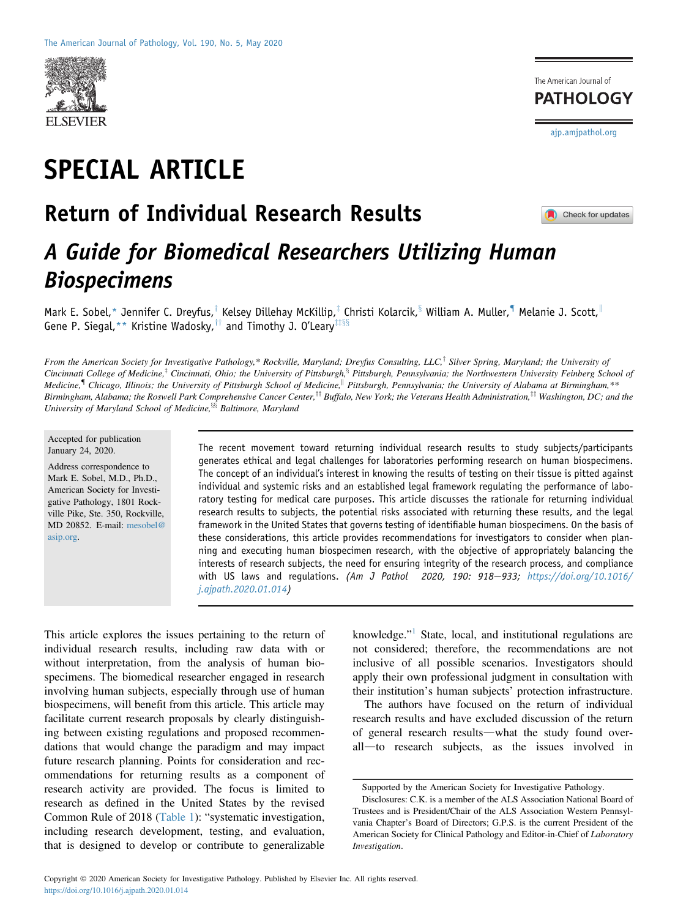

SPECIAL ARTICLE

## Return of Individual Research Results



Check for updates

[ajp.amjpathol.org](http://ajp.amjpathol.org)

The American Journal of **PATHOLOGY** 

# A Guide for Biomedical Researchers Utilizing Human Biospecimens

Mark E. Sobel,\* Jennifer C. Dreyfus,<sup>†</sup> Kelsey Dillehay McKillip,<sup>‡</sup> Christi Kolarcik,<sup>§</sup> William A. Muller, IIM Melanie J. Scott, II Gene P. Siegal, \*\* Kristine Wadosky,  $\dagger$  and Timothy J. O'Leary  $\ddagger$ 

From the American Society for Investigative Pathology,\* Rockville, Maryland; Dreyfus Consulting, LLC,<sup>†</sup> Silver Spring, Maryland; the University of Cincinnati College of Medicine,<sup>†</sup> Cincinnati, Ohio; the University of Pittsburgh,<sup>§</sup> Pittsburgh, Pennsylvania; the Northwestern University Feinberg School of Medicine,<sup>¶</sup> Chicago, Illinois; the University of Pittsburgh School of Medicine,<sup>||</sup> Pittsburgh, Pennsylvania; the University of Alabama at Birmingham, \*\* Birmingham, Alabama; the Roswell Park Comprehensive Cancer Center,<sup>††</sup> Buffalo, New York; the Veterans Health Administration,<sup>‡‡</sup> Washington, DC; and the University of Maryland School of Medicine,  $\frac{8}{5}$  Baltimore, Maryland

#### Accepted for publication January 24, 2020.

Address correspondence to Mark E. Sobel, M.D., Ph.D., American Society for Investigative Pathology, 1801 Rockville Pike, Ste. 350, Rockville, MD 20852. E-mail: [mesobel@](mailto:mesobel@asip.org) [asip.org.](mailto:mesobel@asip.org)

The recent movement toward returning individual research results to study subjects/participants generates ethical and legal challenges for laboratories performing research on human biospecimens. The concept of an individual's interest in knowing the results of testing on their tissue is pitted against individual and systemic risks and an established legal framework regulating the performance of laboratory testing for medical care purposes. This article discusses the rationale for returning individual research results to subjects, the potential risks associated with returning these results, and the legal framework in the United States that governs testing of identifiable human biospecimens. On the basis of these considerations, this article provides recommendations for investigators to consider when planning and executing human biospecimen research, with the objective of appropriately balancing the interests of research subjects, the need for ensuring integrity of the research process, and compliance with US laws and regulations. (Am J Pathol 2020, 190: 918-933; [https://doi.org/10.1016/](https://doi.org/10.1016/j.ajpath.2020.01.014) [j.ajpath.2020.01.014\)](https://doi.org/10.1016/j.ajpath.2020.01.014)

This article explores the issues pertaining to the return of individual research results, including raw data with or without interpretation, from the analysis of human biospecimens. The biomedical researcher engaged in research involving human subjects, especially through use of human biospecimens, will benefit from this article. This article may facilitate current research proposals by clearly distinguishing between existing regulations and proposed recommendations that would change the paradigm and may impact future research planning. Points for consideration and recommendations for returning results as a component of research activity are provided. The focus is limited to research as defined in the United States by the revised Common Rule of 2018 ([Table 1](#page-2-0)): "systematic investigation, including research development, testing, and evaluation, that is designed to develop or contribute to generalizable

knowledge."<sup>[1](#page-13-0)</sup> State, local, and institutional regulations are not considered; therefore, the recommendations are not inclusive of all possible scenarios. Investigators should apply their own professional judgment in consultation with their institution's human subjects' protection infrastructure.

The authors have focused on the return of individual research results and have excluded discussion of the return of general research results—what the study found overall-to research subjects, as the issues involved in

Supported by the American Society for Investigative Pathology.

Disclosures: C.K. is a member of the ALS Association National Board of Trustees and is President/Chair of the ALS Association Western Pennsylvania Chapter's Board of Directors; G.P.S. is the current President of the American Society for Clinical Pathology and Editor-in-Chief of Laboratory Investigation.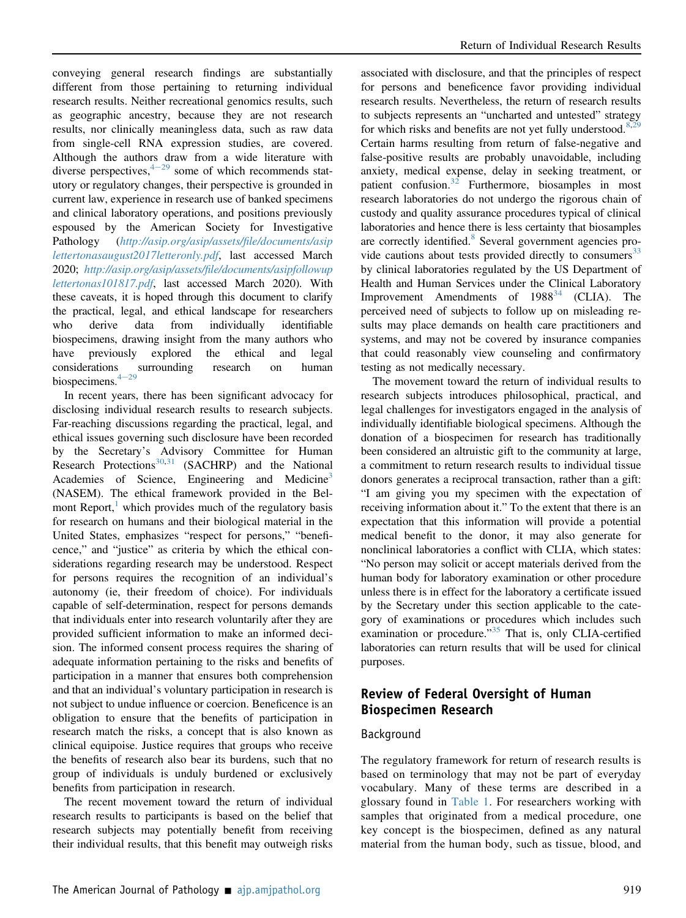conveying general research findings are substantially different from those pertaining to returning individual research results. Neither recreational genomics results, such as geographic ancestry, because they are not research results, nor clinically meaningless data, such as raw data from single-cell RNA expression studies, are covered. Although the authors draw from a wide literature with diverse perspectives,  $4-29$  $4-29$  $4-29$  some of which recommends statutory or regulatory changes, their perspective is grounded in current law, experience in research use of banked specimens and clinical laboratory operations, and positions previously espoused by the American Society for Investigative Pathology ([http://asip.org/asip/assets/](http://asip.org/asip/assets/file/documents/asiplettertonasaugust2017letteronly.pdf)file/documents/asip [lettertonasaugust2017letteronly.pdf](http://asip.org/asip/assets/file/documents/asiplettertonasaugust2017letteronly.pdf), last accessed March 2020; http://asip.org/asip/assets/fi[le/documents/asipfollowup](http://asip.org/asip/assets/file/documents/asipfollowuplettertonas101817.pdf) [lettertonas101817.pdf](http://asip.org/asip/assets/file/documents/asipfollowuplettertonas101817.pdf), last accessed March 2020). With these caveats, it is hoped through this document to clarify the practical, legal, and ethical landscape for researchers who derive data from individually identifiable biospecimens, drawing insight from the many authors who have previously explored the ethical and legal considerations surrounding research on human biospecimens. $4-29$  $4-29$ 

In recent years, there has been significant advocacy for disclosing individual research results to research subjects. Far-reaching discussions regarding the practical, legal, and ethical issues governing such disclosure have been recorded by the Secretary's Advisory Committee for Human Research Protections<sup>[30](#page-14-0)[,31](#page-14-1)</sup> (SACHRP) and the National Academies of Science, Engineering and Medicine<sup>[3](#page-13-2)</sup> (NASEM). The ethical framework provided in the Bel-mont Report,<sup>[1](#page-13-0)</sup> which provides much of the regulatory basis for research on humans and their biological material in the United States, emphasizes "respect for persons," "beneficence," and "justice" as criteria by which the ethical considerations regarding research may be understood. Respect for persons requires the recognition of an individual's autonomy (ie, their freedom of choice). For individuals capable of self-determination, respect for persons demands that individuals enter into research voluntarily after they are provided sufficient information to make an informed decision. The informed consent process requires the sharing of adequate information pertaining to the risks and benefits of participation in a manner that ensures both comprehension and that an individual's voluntary participation in research is not subject to undue influence or coercion. Beneficence is an obligation to ensure that the benefits of participation in research match the risks, a concept that is also known as clinical equipoise. Justice requires that groups who receive the benefits of research also bear its burdens, such that no group of individuals is unduly burdened or exclusively benefits from participation in research.

The recent movement toward the return of individual research results to participants is based on the belief that research subjects may potentially benefit from receiving their individual results, that this benefit may outweigh risks

associated with disclosure, and that the principles of respect for persons and beneficence favor providing individual research results. Nevertheless, the return of research results to subjects represents an "uncharted and untested" strategy for which risks and benefits are not yet fully understood.<sup>[8](#page-14-2)[,29](#page-14-3)</sup> Certain harms resulting from return of false-negative and false-positive results are probably unavoidable, including anxiety, medical expense, delay in seeking treatment, or patient confusion.<sup>[32](#page-14-4)</sup> Furthermore, biosamples in most research laboratories do not undergo the rigorous chain of custody and quality assurance procedures typical of clinical laboratories and hence there is less certainty that biosamples are correctly identified.<sup>[8](#page-14-2)</sup> Several government agencies provide cautions about tests provided directly to consumers $33$ by clinical laboratories regulated by the US Department of Health and Human Services under the Clinical Laboratory Improvement Amendments of  $1988^{34}$  $1988^{34}$  $1988^{34}$  (CLIA). The perceived need of subjects to follow up on misleading results may place demands on health care practitioners and systems, and may not be covered by insurance companies that could reasonably view counseling and confirmatory testing as not medically necessary.

The movement toward the return of individual results to research subjects introduces philosophical, practical, and legal challenges for investigators engaged in the analysis of individually identifiable biological specimens. Although the donation of a biospecimen for research has traditionally been considered an altruistic gift to the community at large, a commitment to return research results to individual tissue donors generates a reciprocal transaction, rather than a gift: "I am giving you my specimen with the expectation of receiving information about it." To the extent that there is an expectation that this information will provide a potential medical benefit to the donor, it may also generate for nonclinical laboratories a conflict with CLIA, which states: "No person may solicit or accept materials derived from the human body for laboratory examination or other procedure unless there is in effect for the laboratory a certificate issued by the Secretary under this section applicable to the category of examinations or procedures which includes such examination or procedure."<sup>[35](#page-14-7)</sup> That is, only CLIA-certified laboratories can return results that will be used for clinical purposes.

## Review of Federal Oversight of Human Biospecimen Research

#### Background

The regulatory framework for return of research results is based on terminology that may not be part of everyday vocabulary. Many of these terms are described in a glossary found in [Table 1](#page-2-0). For researchers working with samples that originated from a medical procedure, one key concept is the biospecimen, defined as any natural material from the human body, such as tissue, blood, and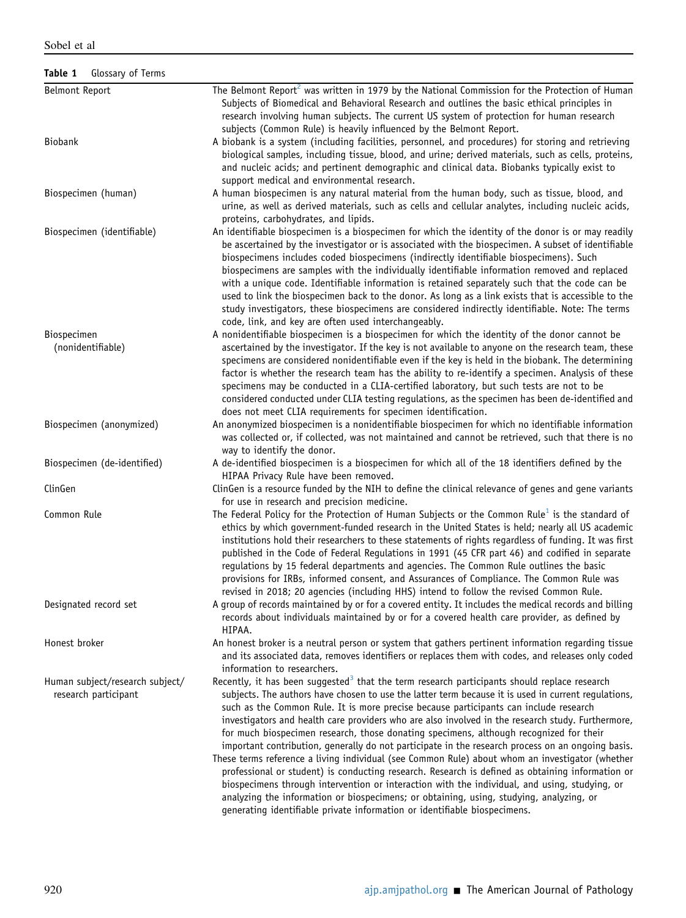<span id="page-2-0"></span>Table 1 Glossary of Terms

| <b>Belmont Report</b>                                   | The Belmont Report <sup>2</sup> was written in 1979 by the National Commission for the Protection of Human<br>Subjects of Biomedical and Behavioral Research and outlines the basic ethical principles in<br>research involving human subjects. The current US system of protection for human research<br>subjects (Common Rule) is heavily influenced by the Belmont Report.                                                                                                                                                                                                                                                                                                                                                                                                                                                                                                                                                                                                                                                                                                                |
|---------------------------------------------------------|----------------------------------------------------------------------------------------------------------------------------------------------------------------------------------------------------------------------------------------------------------------------------------------------------------------------------------------------------------------------------------------------------------------------------------------------------------------------------------------------------------------------------------------------------------------------------------------------------------------------------------------------------------------------------------------------------------------------------------------------------------------------------------------------------------------------------------------------------------------------------------------------------------------------------------------------------------------------------------------------------------------------------------------------------------------------------------------------|
| <b>Biobank</b>                                          | A biobank is a system (including facilities, personnel, and procedures) for storing and retrieving<br>biological samples, including tissue, blood, and urine; derived materials, such as cells, proteins,<br>and nucleic acids; and pertinent demographic and clinical data. Biobanks typically exist to<br>support medical and environmental research.                                                                                                                                                                                                                                                                                                                                                                                                                                                                                                                                                                                                                                                                                                                                      |
| Biospecimen (human)                                     | A human biospecimen is any natural material from the human body, such as tissue, blood, and<br>urine, as well as derived materials, such as cells and cellular analytes, including nucleic acids,<br>proteins, carbohydrates, and lipids.                                                                                                                                                                                                                                                                                                                                                                                                                                                                                                                                                                                                                                                                                                                                                                                                                                                    |
| Biospecimen (identifiable)                              | An identifiable biospecimen is a biospecimen for which the identity of the donor is or may readily<br>be ascertained by the investigator or is associated with the biospecimen. A subset of identifiable<br>biospecimens includes coded biospecimens (indirectly identifiable biospecimens). Such<br>biospecimens are samples with the individually identifiable information removed and replaced<br>with a unique code. Identifiable information is retained separately such that the code can be<br>used to link the biospecimen back to the donor. As long as a link exists that is accessible to the<br>study investigators, these biospecimens are considered indirectly identifiable. Note: The terms<br>code, link, and key are often used interchangeably.                                                                                                                                                                                                                                                                                                                           |
| Biospecimen                                             | A nonidentifiable biospecimen is a biospecimen for which the identity of the donor cannot be                                                                                                                                                                                                                                                                                                                                                                                                                                                                                                                                                                                                                                                                                                                                                                                                                                                                                                                                                                                                 |
| (nonidentifiable)                                       | ascertained by the investigator. If the key is not available to anyone on the research team, these<br>specimens are considered nonidentifiable even if the key is held in the biobank. The determining<br>factor is whether the research team has the ability to re-identify a specimen. Analysis of these<br>specimens may be conducted in a CLIA-certified laboratory, but such tests are not to be<br>considered conducted under CLIA testing regulations, as the specimen has been de-identified and<br>does not meet CLIA requirements for specimen identification.                                                                                                                                                                                                                                                                                                                                                                                                                                                                                                                     |
| Biospecimen (anonymized)                                | An anonymized biospecimen is a nonidentifiable biospecimen for which no identifiable information<br>was collected or, if collected, was not maintained and cannot be retrieved, such that there is no<br>way to identify the donor.                                                                                                                                                                                                                                                                                                                                                                                                                                                                                                                                                                                                                                                                                                                                                                                                                                                          |
| Biospecimen (de-identified)                             | A de-identified biospecimen is a biospecimen for which all of the 18 identifiers defined by the<br>HIPAA Privacy Rule have been removed.                                                                                                                                                                                                                                                                                                                                                                                                                                                                                                                                                                                                                                                                                                                                                                                                                                                                                                                                                     |
| ClinGen                                                 | ClinGen is a resource funded by the NIH to define the clinical relevance of genes and gene variants<br>for use in research and precision medicine.                                                                                                                                                                                                                                                                                                                                                                                                                                                                                                                                                                                                                                                                                                                                                                                                                                                                                                                                           |
| Common Rule                                             | The Federal Policy for the Protection of Human Subjects or the Common Rule <sup>1</sup> is the standard of<br>ethics by which government-funded research in the United States is held; nearly all US academic<br>institutions hold their researchers to these statements of rights regardless of funding. It was first<br>published in the Code of Federal Regulations in 1991 (45 CFR part 46) and codified in separate<br>regulations by 15 federal departments and agencies. The Common Rule outlines the basic<br>provisions for IRBs, informed consent, and Assurances of Compliance. The Common Rule was<br>revised in 2018; 20 agencies (including HHS) intend to follow the revised Common Rule.                                                                                                                                                                                                                                                                                                                                                                                     |
| Designated record set                                   | A group of records maintained by or for a covered entity. It includes the medical records and billing<br>records about individuals maintained by or for a covered health care provider, as defined by<br>HIPAA.                                                                                                                                                                                                                                                                                                                                                                                                                                                                                                                                                                                                                                                                                                                                                                                                                                                                              |
| Honest broker                                           | An honest broker is a neutral person or system that gathers pertinent information regarding tissue<br>and its associated data, removes identifiers or replaces them with codes, and releases only coded<br>information to researchers.                                                                                                                                                                                                                                                                                                                                                                                                                                                                                                                                                                                                                                                                                                                                                                                                                                                       |
| Human subject/research subject/<br>research participant | Recently, it has been suggested <sup>3</sup> that the term research participants should replace research<br>subjects. The authors have chosen to use the latter term because it is used in current regulations,<br>such as the Common Rule. It is more precise because participants can include research<br>investigators and health care providers who are also involved in the research study. Furthermore,<br>for much biospecimen research, those donating specimens, although recognized for their<br>important contribution, generally do not participate in the research process on an ongoing basis.<br>These terms reference a living individual (see Common Rule) about whom an investigator (whether<br>professional or student) is conducting research. Research is defined as obtaining information or<br>biospecimens through intervention or interaction with the individual, and using, studying, or<br>analyzing the information or biospecimens; or obtaining, using, studying, analyzing, or<br>generating identifiable private information or identifiable biospecimens. |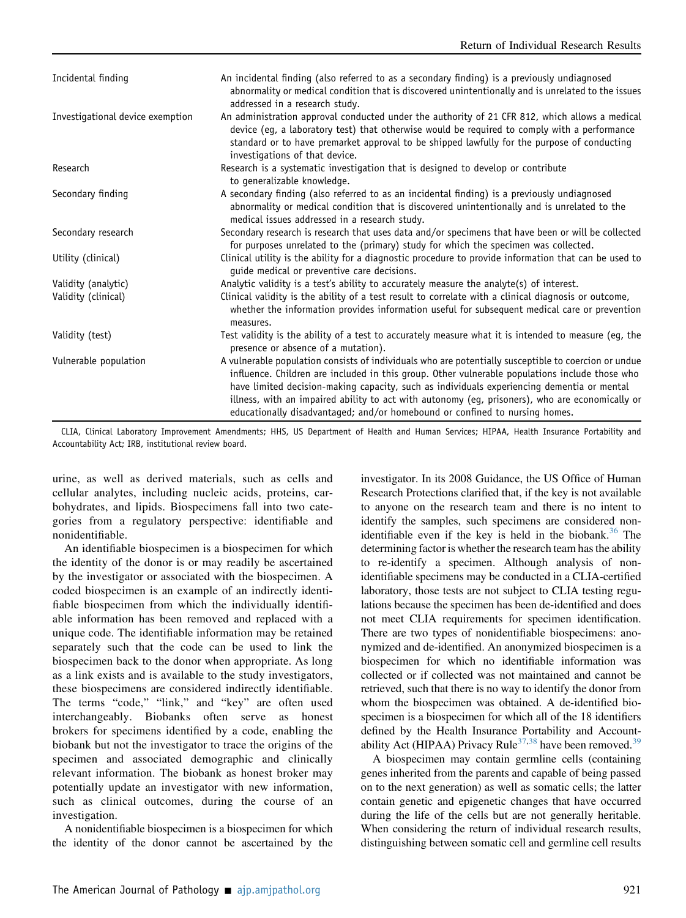| Incidental finding               | An incidental finding (also referred to as a secondary finding) is a previously undiagnosed<br>abnormality or medical condition that is discovered unintentionally and is unrelated to the issues<br>addressed in a research study.                                                                                                                                                                                                                                                    |
|----------------------------------|----------------------------------------------------------------------------------------------------------------------------------------------------------------------------------------------------------------------------------------------------------------------------------------------------------------------------------------------------------------------------------------------------------------------------------------------------------------------------------------|
| Investigational device exemption | An administration approval conducted under the authority of 21 CFR 812, which allows a medical<br>device (eq, a laboratory test) that otherwise would be required to comply with a performance<br>standard or to have premarket approval to be shipped lawfully for the purpose of conducting<br>investigations of that device.                                                                                                                                                        |
| Research                         | Research is a systematic investigation that is designed to develop or contribute<br>to generalizable knowledge.                                                                                                                                                                                                                                                                                                                                                                        |
| Secondary finding                | A secondary finding (also referred to as an incidental finding) is a previously undiagnosed<br>abnormality or medical condition that is discovered unintentionally and is unrelated to the<br>medical issues addressed in a research study.                                                                                                                                                                                                                                            |
| Secondary research               | Secondary research is research that uses data and/or specimens that have been or will be collected<br>for purposes unrelated to the (primary) study for which the specimen was collected.                                                                                                                                                                                                                                                                                              |
| Utility (clinical)               | Clinical utility is the ability for a diagnostic procedure to provide information that can be used to<br>guide medical or preventive care decisions.                                                                                                                                                                                                                                                                                                                                   |
| Validity (analytic)              | Analytic validity is a test's ability to accurately measure the analyte(s) of interest.                                                                                                                                                                                                                                                                                                                                                                                                |
| Validity (clinical)              | Clinical validity is the ability of a test result to correlate with a clinical diagnosis or outcome,<br>whether the information provides information useful for subsequent medical care or prevention<br>measures.                                                                                                                                                                                                                                                                     |
| Validity (test)                  | Test validity is the ability of a test to accurately measure what it is intended to measure (eg, the<br>presence or absence of a mutation).                                                                                                                                                                                                                                                                                                                                            |
| Vulnerable population            | A vulnerable population consists of individuals who are potentially susceptible to coercion or undue<br>influence. Children are included in this group. Other vulnerable populations include those who<br>have limited decision-making capacity, such as individuals experiencing dementia or mental<br>illness, with an impaired ability to act with autonomy (eq, prisoners), who are economically or<br>educationally disadvantaged; and/or homebound or confined to nursing homes. |

CLIA, Clinical Laboratory Improvement Amendments; HHS, US Department of Health and Human Services; HIPAA, Health Insurance Portability and Accountability Act; IRB, institutional review board.

urine, as well as derived materials, such as cells and cellular analytes, including nucleic acids, proteins, carbohydrates, and lipids. Biospecimens fall into two categories from a regulatory perspective: identifiable and nonidentifiable.

An identifiable biospecimen is a biospecimen for which the identity of the donor is or may readily be ascertained by the investigator or associated with the biospecimen. A coded biospecimen is an example of an indirectly identifiable biospecimen from which the individually identifiable information has been removed and replaced with a unique code. The identifiable information may be retained separately such that the code can be used to link the biospecimen back to the donor when appropriate. As long as a link exists and is available to the study investigators, these biospecimens are considered indirectly identifiable. The terms "code," "link," and "key" are often used interchangeably. Biobanks often serve as honest brokers for specimens identified by a code, enabling the biobank but not the investigator to trace the origins of the specimen and associated demographic and clinically relevant information. The biobank as honest broker may potentially update an investigator with new information, such as clinical outcomes, during the course of an investigation.

A nonidentifiable biospecimen is a biospecimen for which the identity of the donor cannot be ascertained by the

investigator. In its 2008 Guidance, the US Office of Human Research Protections clarified that, if the key is not available to anyone on the research team and there is no intent to identify the samples, such specimens are considered non-identifiable even if the key is held in the biobank.<sup>[36](#page-14-8)</sup> The determining factor is whether the research team has the ability to re-identify a specimen. Although analysis of nonidentifiable specimens may be conducted in a CLIA-certified laboratory, those tests are not subject to CLIA testing regulations because the specimen has been de-identified and does not meet CLIA requirements for specimen identification. There are two types of nonidentifiable biospecimens: anonymized and de-identified. An anonymized biospecimen is a biospecimen for which no identifiable information was collected or if collected was not maintained and cannot be retrieved, such that there is no way to identify the donor from whom the biospecimen was obtained. A de-identified biospecimen is a biospecimen for which all of the 18 identifiers defined by the Health Insurance Portability and Account-ability Act (HIPAA) Privacy Rule<sup>[37](#page-14-9),[38](#page-14-10)</sup> have been removed.<sup>[39](#page-15-0)</sup>

A biospecimen may contain germline cells (containing genes inherited from the parents and capable of being passed on to the next generation) as well as somatic cells; the latter contain genetic and epigenetic changes that have occurred during the life of the cells but are not generally heritable. When considering the return of individual research results, distinguishing between somatic cell and germline cell results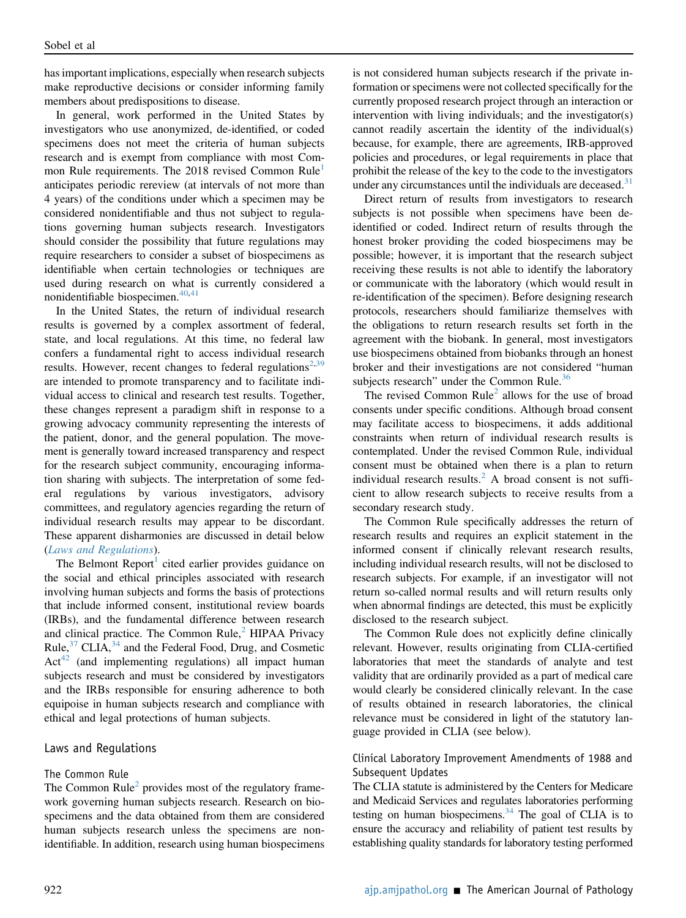has important implications, especially when research subjects make reproductive decisions or consider informing family members about predispositions to disease.

In general, work performed in the United States by investigators who use anonymized, de-identified, or coded specimens does not meet the criteria of human subjects research and is exempt from compliance with most Com-mon Rule requirements. The 20[1](#page-13-0)8 revised Common Rule<sup>1</sup> anticipates periodic rereview (at intervals of not more than 4 years) of the conditions under which a specimen may be considered nonidentifiable and thus not subject to regulations governing human subjects research. Investigators should consider the possibility that future regulations may require researchers to consider a subset of biospecimens as identifiable when certain technologies or techniques are used during research on what is currently considered a nonidentifiable biospecimen. $40,41$  $40,41$ 

In the United States, the return of individual research results is governed by a complex assortment of federal, state, and local regulations. At this time, no federal law confers a fundamental right to access individual research results. However, recent changes to federal regulations<sup>[2](#page-13-3)[,39](#page-15-0)</sup> are intended to promote transparency and to facilitate individual access to clinical and research test results. Together, these changes represent a paradigm shift in response to a growing advocacy community representing the interests of the patient, donor, and the general population. The movement is generally toward increased transparency and respect for the research subject community, encouraging information sharing with subjects. The interpretation of some federal regulations by various investigators, advisory committees, and regulatory agencies regarding the return of individual research results may appear to be discordant. These apparent disharmonies are discussed in detail below ([Laws and Regulations](#page-4-0)).

The Belmont Report<sup>[1](#page-13-0)</sup> cited earlier provides guidance on the social and ethical principles associated with research involving human subjects and forms the basis of protections that include informed consent, institutional review boards (IRBs), and the fundamental difference between research and clinical practice. The Common Rule, $<sup>2</sup>$  $<sup>2</sup>$  $<sup>2</sup>$  HIPAA Privacy</sup> Rule, $3^7$  CLIA, $3^4$  and the Federal Food, Drug, and Cosmetic  $Act^{42}$  $Act^{42}$  $Act^{42}$  (and implementing regulations) all impact human subjects research and must be considered by investigators and the IRBs responsible for ensuring adherence to both equipoise in human subjects research and compliance with ethical and legal protections of human subjects.

#### <span id="page-4-0"></span>Laws and Regulations

#### The Common Rule

The Common  $Rule<sup>2</sup>$  $Rule<sup>2</sup>$  $Rule<sup>2</sup>$  provides most of the regulatory framework governing human subjects research. Research on biospecimens and the data obtained from them are considered human subjects research unless the specimens are nonidentifiable. In addition, research using human biospecimens is not considered human subjects research if the private information or specimens were not collected specifically for the currently proposed research project through an interaction or intervention with living individuals; and the investigator(s) cannot readily ascertain the identity of the individual(s) because, for example, there are agreements, IRB-approved policies and procedures, or legal requirements in place that prohibit the release of the key to the code to the investigators under any circumstances until the individuals are deceased. $31$ 

Direct return of results from investigators to research subjects is not possible when specimens have been deidentified or coded. Indirect return of results through the honest broker providing the coded biospecimens may be possible; however, it is important that the research subject receiving these results is not able to identify the laboratory or communicate with the laboratory (which would result in re-identification of the specimen). Before designing research protocols, researchers should familiarize themselves with the obligations to return research results set forth in the agreement with the biobank. In general, most investigators use biospecimens obtained from biobanks through an honest broker and their investigations are not considered "human subjects research" under the Common Rule.<sup>[36](#page-14-8)</sup>

The revised Common  $Rule<sup>2</sup>$  $Rule<sup>2</sup>$  $Rule<sup>2</sup>$  allows for the use of broad consents under specific conditions. Although broad consent may facilitate access to biospecimens, it adds additional constraints when return of individual research results is contemplated. Under the revised Common Rule, individual consent must be obtained when there is a plan to return individual research results. ${}^{2}$  ${}^{2}$  ${}^{2}$  A broad consent is not sufficient to allow research subjects to receive results from a secondary research study.

The Common Rule specifically addresses the return of research results and requires an explicit statement in the informed consent if clinically relevant research results, including individual research results, will not be disclosed to research subjects. For example, if an investigator will not return so-called normal results and will return results only when abnormal findings are detected, this must be explicitly disclosed to the research subject.

The Common Rule does not explicitly define clinically relevant. However, results originating from CLIA-certified laboratories that meet the standards of analyte and test validity that are ordinarily provided as a part of medical care would clearly be considered clinically relevant. In the case of results obtained in research laboratories, the clinical relevance must be considered in light of the statutory language provided in CLIA (see below).

#### Clinical Laboratory Improvement Amendments of 1988 and Subsequent Updates

The CLIA statute is administered by the Centers for Medicare and Medicaid Services and regulates laboratories performing testing on human biospecimens. $34$  The goal of CLIA is to ensure the accuracy and reliability of patient test results by establishing quality standards for laboratory testing performed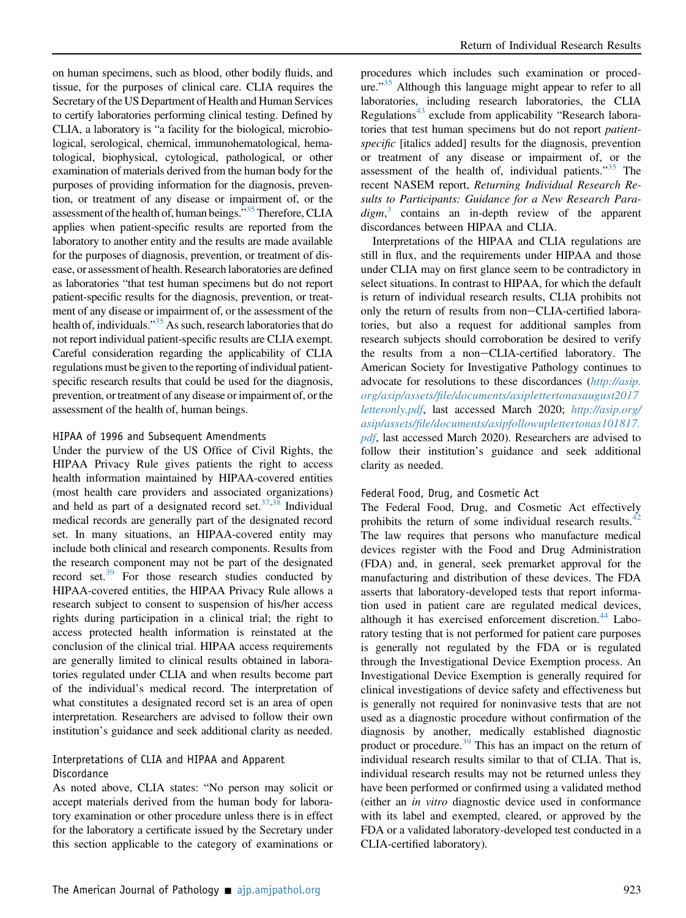on human specimens, such as blood, other bodily fluids, and tissue, for the purposes of clinical care. CLIA requires the Secretary of the US Department of Health and Human Services to certify laboratories performing clinical testing. Defined by CLIA, a laboratory is "a facility for the biological, microbiological, serological, chemical, immunohematological, hematological, biophysical, cytological, pathological, or other examination of materials derived from the human body for the purposes of providing information for the diagnosis, prevention, or treatment of any disease or impairment of, or the assessment of the health of, human beings."<sup>[35](#page-14-7)</sup> Therefore, CLIA applies when patient-specific results are reported from the laboratory to another entity and the results are made available for the purposes of diagnosis, prevention, or treatment of disease, or assessment of health. Research laboratories are defined as laboratories "that test human specimens but do not report patient-specific results for the diagnosis, prevention, or treatment of any disease or impairment of, or the assessment of the health of, individuals."<sup>[35](#page-14-7)</sup> As such, research laboratories that do not report individual patient-specific results are CLIA exempt. Careful consideration regarding the applicability of CLIA regulations must be given to the reporting of individual patientspecific research results that could be used for the diagnosis, prevention, or treatment of any disease or impairment of, or the assessment of the health of, human beings.

#### HIPAA of 1996 and Subsequent Amendments

Under the purview of the US Office of Civil Rights, the HIPAA Privacy Rule gives patients the right to access health information maintained by HIPAA-covered entities (most health care providers and associated organizations) and held as part of a designated record set. $37,38$  $37,38$  Individual medical records are generally part of the designated record set. In many situations, an HIPAA-covered entity may include both clinical and research components. Results from the research component may not be part of the designated record set.<sup>[39](#page-15-0)</sup> For those research studies conducted by HIPAA-covered entities, the HIPAA Privacy Rule allows a research subject to consent to suspension of his/her access rights during participation in a clinical trial; the right to access protected health information is reinstated at the conclusion of the clinical trial. HIPAA access requirements are generally limited to clinical results obtained in laboratories regulated under CLIA and when results become part of the individual's medical record. The interpretation of what constitutes a designated record set is an area of open interpretation. Researchers are advised to follow their own institution's guidance and seek additional clarity as needed.

#### Interpretations of CLIA and HIPAA and Apparent **Discordance**

As noted above, CLIA states: "No person may solicit or accept materials derived from the human body for laboratory examination or other procedure unless there is in effect for the laboratory a certificate issued by the Secretary under this section applicable to the category of examinations or

procedures which includes such examination or proced-ure."<sup>[35](#page-14-7)</sup> Although this language might appear to refer to all laboratories, including research laboratories, the CLIA Regulations<sup>[43](#page-15-4)</sup> exclude from applicability "Research laboratories that test human specimens but do not report patientspecific [italics added] results for the diagnosis, prevention or treatment of any disease or impairment of, or the assessment of the health of, individual patients."<sup>[35](#page-14-7)</sup> The recent NASEM report, Returning Individual Research Results to Participants: Guidance for a New Research Para $digm$ ,<sup>[3](#page-13-2)</sup> contains an in-depth review of the apparent discordances between HIPAA and CLIA.

Interpretations of the HIPAA and CLIA regulations are still in flux, and the requirements under HIPAA and those under CLIA may on first glance seem to be contradictory in select situations. In contrast to HIPAA, for which the default is return of individual research results, CLIA prohibits not only the return of results from non-CLIA-certified laboratories, but also a request for additional samples from research subjects should corroboration be desired to verify the results from a non-CLIA-certified laboratory. The American Society for Investigative Pathology continues to advocate for resolutions to these discordances ([http://asip.](http://asip.org/asip/assets/file/documents/asiplettertonasaugust2017letteronly.pdf) org/asip/assets/fi[le/documents/asiplettertonasaugust2017](http://asip.org/asip/assets/file/documents/asiplettertonasaugust2017letteronly.pdf) [letteronly.pdf](http://asip.org/asip/assets/file/documents/asiplettertonasaugust2017letteronly.pdf), last accessed March 2020; [http://asip.org/](http://asip.org/asip/assets/file/documents/asipfollowuplettertonas101817.pdf) asip/assets/fi[le/documents/asipfollowuplettertonas101817.](http://asip.org/asip/assets/file/documents/asipfollowuplettertonas101817.pdf) [pdf](http://asip.org/asip/assets/file/documents/asipfollowuplettertonas101817.pdf), last accessed March 2020). Researchers are advised to follow their institution's guidance and seek additional clarity as needed.

#### Federal Food, Drug, and Cosmetic Act

The Federal Food, Drug, and Cosmetic Act effectively prohibits the return of some individual research results.<sup>42</sup> The law requires that persons who manufacture medical devices register with the Food and Drug Administration (FDA) and, in general, seek premarket approval for the manufacturing and distribution of these devices. The FDA asserts that laboratory-developed tests that report information used in patient care are regulated medical devices, although it has exercised enforcement discretion.<sup>[44](#page-15-5)</sup> Laboratory testing that is not performed for patient care purposes is generally not regulated by the FDA or is regulated through the Investigational Device Exemption process. An Investigational Device Exemption is generally required for clinical investigations of device safety and effectiveness but is generally not required for noninvasive tests that are not used as a diagnostic procedure without confirmation of the diagnosis by another, medically established diagnostic product or procedure.<sup>[39](#page-15-0)</sup> This has an impact on the return of individual research results similar to that of CLIA. That is, individual research results may not be returned unless they have been performed or confirmed using a validated method (either an in vitro diagnostic device used in conformance with its label and exempted, cleared, or approved by the FDA or a validated laboratory-developed test conducted in a CLIA-certified laboratory).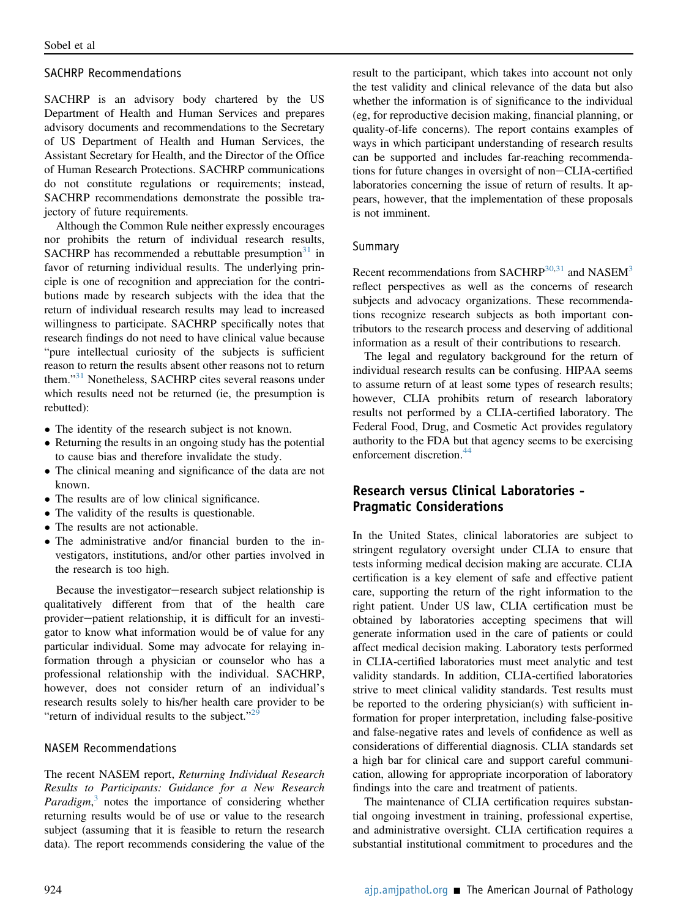#### SACHRP Recommendations

SACHRP is an advisory body chartered by the US Department of Health and Human Services and prepares advisory documents and recommendations to the Secretary of US Department of Health and Human Services, the Assistant Secretary for Health, and the Director of the Office of Human Research Protections. SACHRP communications do not constitute regulations or requirements; instead, SACHRP recommendations demonstrate the possible trajectory of future requirements.

Although the Common Rule neither expressly encourages nor prohibits the return of individual research results, SACHRP has recommended a rebuttable presumption $31$  in favor of returning individual results. The underlying principle is one of recognition and appreciation for the contributions made by research subjects with the idea that the return of individual research results may lead to increased willingness to participate. SACHRP specifically notes that research findings do not need to have clinical value because "pure intellectual curiosity of the subjects is sufficient reason to return the results absent other reasons not to return them."<sup>[31](#page-14-1)</sup> Nonetheless, SACHRP cites several reasons under which results need not be returned (ie, the presumption is rebutted):

- The identity of the research subject is not known.
- Returning the results in an ongoing study has the potential to cause bias and therefore invalidate the study.
- The clinical meaning and significance of the data are not known.
- The results are of low clinical significance.
- The validity of the results is questionable.
- The results are not actionable.
- The administrative and/or financial burden to the investigators, institutions, and/or other parties involved in the research is too high.

Because the investigator-research subject relationship is qualitatively different from that of the health care provider-patient relationship, it is difficult for an investigator to know what information would be of value for any particular individual. Some may advocate for relaying information through a physician or counselor who has a professional relationship with the individual. SACHRP, however, does not consider return of an individual's research results solely to his/her health care provider to be "return of individual results to the subject." $2^{9}$ 

#### NASEM Recommendations

The recent NASEM report, Returning Individual Research Results to Participants: Guidance for a New Research Paradigm, $3$  notes the importance of considering whether returning results would be of use or value to the research subject (assuming that it is feasible to return the research data). The report recommends considering the value of the result to the participant, which takes into account not only the test validity and clinical relevance of the data but also whether the information is of significance to the individual (eg, for reproductive decision making, financial planning, or quality-of-life concerns). The report contains examples of ways in which participant understanding of research results can be supported and includes far-reaching recommendations for future changes in oversight of non-CLIA-certified laboratories concerning the issue of return of results. It appears, however, that the implementation of these proposals is not imminent.

#### Summary

Recent recommendations from SACHRP $30,31$  $30,31$  and NASEM $3$ reflect perspectives as well as the concerns of research subjects and advocacy organizations. These recommendations recognize research subjects as both important contributors to the research process and deserving of additional information as a result of their contributions to research.

The legal and regulatory background for the return of individual research results can be confusing. HIPAA seems to assume return of at least some types of research results; however, CLIA prohibits return of research laboratory results not performed by a CLIA-certified laboratory. The Federal Food, Drug, and Cosmetic Act provides regulatory authority to the FDA but that agency seems to be exercising enforcement discretion.<sup>[44](#page-15-5)</sup>

### Research versus Clinical Laboratories - Pragmatic Considerations

In the United States, clinical laboratories are subject to stringent regulatory oversight under CLIA to ensure that tests informing medical decision making are accurate. CLIA certification is a key element of safe and effective patient care, supporting the return of the right information to the right patient. Under US law, CLIA certification must be obtained by laboratories accepting specimens that will generate information used in the care of patients or could affect medical decision making. Laboratory tests performed in CLIA-certified laboratories must meet analytic and test validity standards. In addition, CLIA-certified laboratories strive to meet clinical validity standards. Test results must be reported to the ordering physician(s) with sufficient information for proper interpretation, including false-positive and false-negative rates and levels of confidence as well as considerations of differential diagnosis. CLIA standards set a high bar for clinical care and support careful communication, allowing for appropriate incorporation of laboratory findings into the care and treatment of patients.

The maintenance of CLIA certification requires substantial ongoing investment in training, professional expertise, and administrative oversight. CLIA certification requires a substantial institutional commitment to procedures and the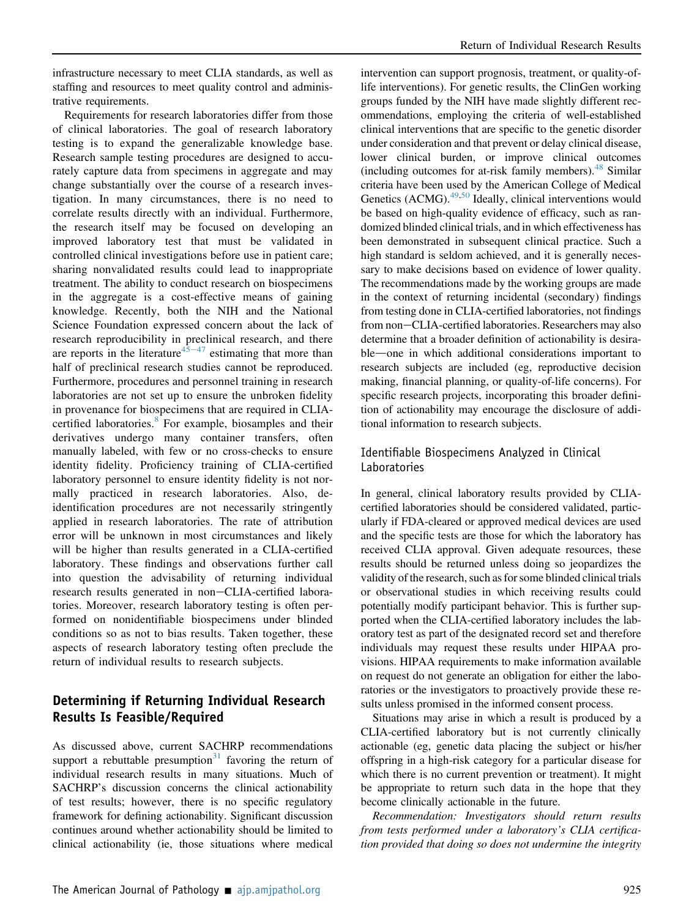infrastructure necessary to meet CLIA standards, as well as staffing and resources to meet quality control and administrative requirements.

Requirements for research laboratories differ from those of clinical laboratories. The goal of research laboratory testing is to expand the generalizable knowledge base. Research sample testing procedures are designed to accurately capture data from specimens in aggregate and may change substantially over the course of a research investigation. In many circumstances, there is no need to correlate results directly with an individual. Furthermore, the research itself may be focused on developing an improved laboratory test that must be validated in controlled clinical investigations before use in patient care; sharing nonvalidated results could lead to inappropriate treatment. The ability to conduct research on biospecimens in the aggregate is a cost-effective means of gaining knowledge. Recently, both the NIH and the National Science Foundation expressed concern about the lack of research reproducibility in preclinical research, and there are reports in the literature<sup>[45](#page-15-6)–[47](#page-15-6)</sup> estimating that more than half of preclinical research studies cannot be reproduced. Furthermore, procedures and personnel training in research laboratories are not set up to ensure the unbroken fidelity in provenance for biospecimens that are required in CLIA-certified laboratories.<sup>[8](#page-14-2)</sup> For example, biosamples and their derivatives undergo many container transfers, often manually labeled, with few or no cross-checks to ensure identity fidelity. Proficiency training of CLIA-certified laboratory personnel to ensure identity fidelity is not normally practiced in research laboratories. Also, deidentification procedures are not necessarily stringently applied in research laboratories. The rate of attribution error will be unknown in most circumstances and likely will be higher than results generated in a CLIA-certified laboratory. These findings and observations further call into question the advisability of returning individual research results generated in non-CLIA-certified laboratories. Moreover, research laboratory testing is often performed on nonidentifiable biospecimens under blinded conditions so as not to bias results. Taken together, these aspects of research laboratory testing often preclude the return of individual results to research subjects.

## Determining if Returning Individual Research Results Is Feasible/Required

As discussed above, current SACHRP recommendations support a rebuttable presumption<sup>[31](#page-14-1)</sup> favoring the return of individual research results in many situations. Much of SACHRP's discussion concerns the clinical actionability of test results; however, there is no specific regulatory framework for defining actionability. Significant discussion continues around whether actionability should be limited to clinical actionability (ie, those situations where medical

intervention can support prognosis, treatment, or quality-oflife interventions). For genetic results, the ClinGen working groups funded by the NIH have made slightly different recommendations, employing the criteria of well-established clinical interventions that are specific to the genetic disorder under consideration and that prevent or delay clinical disease, lower clinical burden, or improve clinical outcomes (including outcomes for at-risk family members).  $48$  Similar criteria have been used by the American College of Medical Genetics (ACMG). $49,50$  $49,50$  Ideally, clinical interventions would be based on high-quality evidence of efficacy, such as randomized blinded clinical trials, and in which effectiveness has been demonstrated in subsequent clinical practice. Such a high standard is seldom achieved, and it is generally necessary to make decisions based on evidence of lower quality. The recommendations made by the working groups are made in the context of returning incidental (secondary) findings from testing done in CLIA-certified laboratories, not findings from non-CLIA-certified laboratories. Researchers may also determine that a broader definition of actionability is desirable—one in which additional considerations important to research subjects are included (eg, reproductive decision making, financial planning, or quality-of-life concerns). For specific research projects, incorporating this broader definition of actionability may encourage the disclosure of additional information to research subjects.

#### Identifiable Biospecimens Analyzed in Clinical Laboratories

In general, clinical laboratory results provided by CLIAcertified laboratories should be considered validated, particularly if FDA-cleared or approved medical devices are used and the specific tests are those for which the laboratory has received CLIA approval. Given adequate resources, these results should be returned unless doing so jeopardizes the validity of the research, such as for some blinded clinical trials or observational studies in which receiving results could potentially modify participant behavior. This is further supported when the CLIA-certified laboratory includes the laboratory test as part of the designated record set and therefore individuals may request these results under HIPAA provisions. HIPAA requirements to make information available on request do not generate an obligation for either the laboratories or the investigators to proactively provide these results unless promised in the informed consent process.

Situations may arise in which a result is produced by a CLIA-certified laboratory but is not currently clinically actionable (eg, genetic data placing the subject or his/her offspring in a high-risk category for a particular disease for which there is no current prevention or treatment). It might be appropriate to return such data in the hope that they become clinically actionable in the future.

Recommendation: Investigators should return results from tests performed under a laboratory's CLIA certification provided that doing so does not undermine the integrity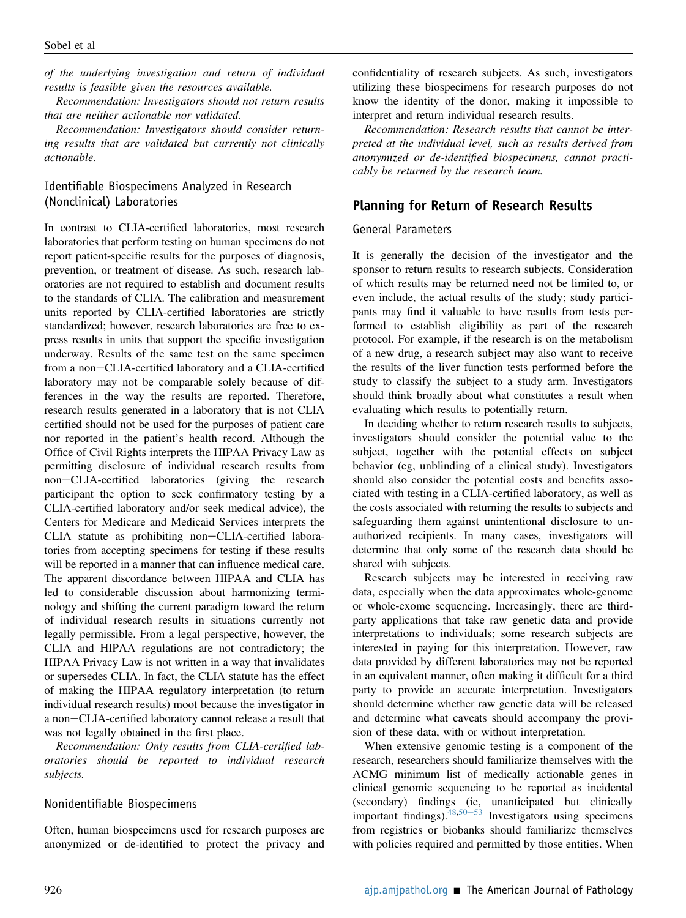of the underlying investigation and return of individual results is feasible given the resources available.

Recommendation: Investigators should not return results that are neither actionable nor validated.

Recommendation: Investigators should consider returning results that are validated but currently not clinically actionable.

#### Identifiable Biospecimens Analyzed in Research (Nonclinical) Laboratories

In contrast to CLIA-certified laboratories, most research laboratories that perform testing on human specimens do not report patient-specific results for the purposes of diagnosis, prevention, or treatment of disease. As such, research laboratories are not required to establish and document results to the standards of CLIA. The calibration and measurement units reported by CLIA-certified laboratories are strictly standardized; however, research laboratories are free to express results in units that support the specific investigation underway. Results of the same test on the same specimen from a non-CLIA-certified laboratory and a CLIA-certified laboratory may not be comparable solely because of differences in the way the results are reported. Therefore, research results generated in a laboratory that is not CLIA certified should not be used for the purposes of patient care nor reported in the patient's health record. Although the Office of Civil Rights interprets the HIPAA Privacy Law as permitting disclosure of individual research results from non-CLIA-certified laboratories (giving the research participant the option to seek confirmatory testing by a CLIA-certified laboratory and/or seek medical advice), the Centers for Medicare and Medicaid Services interprets the CLIA statute as prohibiting non-CLIA-certified laboratories from accepting specimens for testing if these results will be reported in a manner that can influence medical care. The apparent discordance between HIPAA and CLIA has led to considerable discussion about harmonizing terminology and shifting the current paradigm toward the return of individual research results in situations currently not legally permissible. From a legal perspective, however, the CLIA and HIPAA regulations are not contradictory; the HIPAA Privacy Law is not written in a way that invalidates or supersedes CLIA. In fact, the CLIA statute has the effect of making the HIPAA regulatory interpretation (to return individual research results) moot because the investigator in a non-CLIA-certified laboratory cannot release a result that was not legally obtained in the first place.

Recommendation: Only results from CLIA-certified laboratories should be reported to individual research subjects.

#### Nonidentifiable Biospecimens

Often, human biospecimens used for research purposes are anonymized or de-identified to protect the privacy and

confidentiality of research subjects. As such, investigators utilizing these biospecimens for research purposes do not know the identity of the donor, making it impossible to interpret and return individual research results.

Recommendation: Research results that cannot be interpreted at the individual level, such as results derived from anonymized or de-identified biospecimens, cannot practicably be returned by the research team.

#### Planning for Return of Research Results

#### General Parameters

It is generally the decision of the investigator and the sponsor to return results to research subjects. Consideration of which results may be returned need not be limited to, or even include, the actual results of the study; study participants may find it valuable to have results from tests performed to establish eligibility as part of the research protocol. For example, if the research is on the metabolism of a new drug, a research subject may also want to receive the results of the liver function tests performed before the study to classify the subject to a study arm. Investigators should think broadly about what constitutes a result when evaluating which results to potentially return.

In deciding whether to return research results to subjects, investigators should consider the potential value to the subject, together with the potential effects on subject behavior (eg, unblinding of a clinical study). Investigators should also consider the potential costs and benefits associated with testing in a CLIA-certified laboratory, as well as the costs associated with returning the results to subjects and safeguarding them against unintentional disclosure to unauthorized recipients. In many cases, investigators will determine that only some of the research data should be shared with subjects.

Research subjects may be interested in receiving raw data, especially when the data approximates whole-genome or whole-exome sequencing. Increasingly, there are thirdparty applications that take raw genetic data and provide interpretations to individuals; some research subjects are interested in paying for this interpretation. However, raw data provided by different laboratories may not be reported in an equivalent manner, often making it difficult for a third party to provide an accurate interpretation. Investigators should determine whether raw genetic data will be released and determine what caveats should accompany the provision of these data, with or without interpretation.

When extensive genomic testing is a component of the research, researchers should familiarize themselves with the ACMG minimum list of medically actionable genes in clinical genomic sequencing to be reported as incidental (secondary) findings (ie, unanticipated but clinically important findings).  $48,50-53$  $48,50-53$  $48,50-53$  $48,50-53$  Investigators using specimens from registries or biobanks should familiarize themselves with policies required and permitted by those entities. When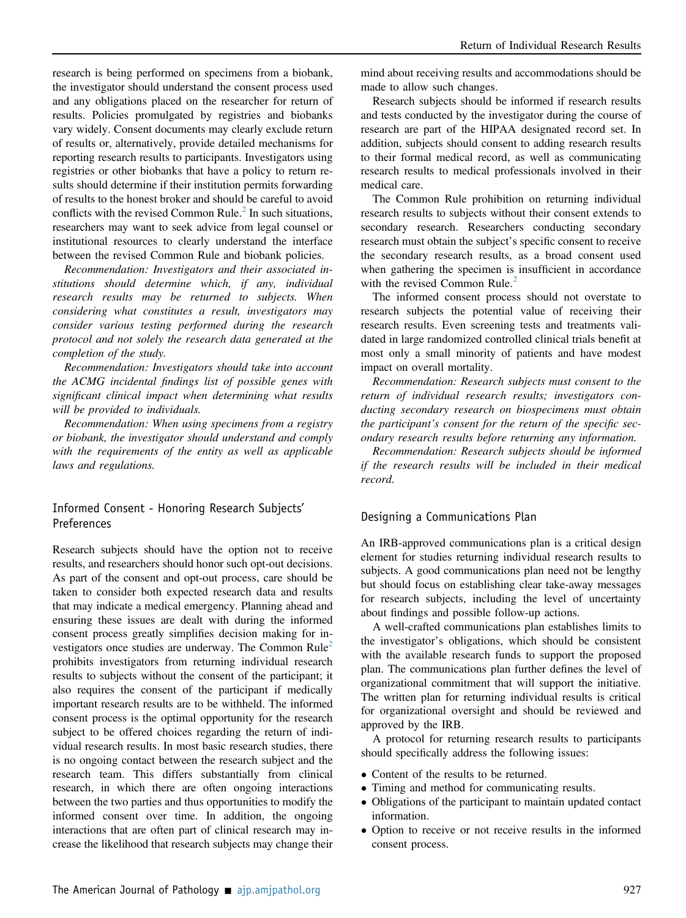research is being performed on specimens from a biobank, the investigator should understand the consent process used and any obligations placed on the researcher for return of results. Policies promulgated by registries and biobanks vary widely. Consent documents may clearly exclude return of results or, alternatively, provide detailed mechanisms for reporting research results to participants. Investigators using registries or other biobanks that have a policy to return results should determine if their institution permits forwarding of results to the honest broker and should be careful to avoid conflicts with the revised Common Rule. $<sup>2</sup>$  $<sup>2</sup>$  $<sup>2</sup>$  In such situations,</sup> researchers may want to seek advice from legal counsel or institutional resources to clearly understand the interface between the revised Common Rule and biobank policies.

Recommendation: Investigators and their associated institutions should determine which, if any, individual research results may be returned to subjects. When considering what constitutes a result, investigators may consider various testing performed during the research protocol and not solely the research data generated at the completion of the study.

Recommendation: Investigators should take into account the ACMG incidental findings list of possible genes with significant clinical impact when determining what results will be provided to individuals.

Recommendation: When using specimens from a registry or biobank, the investigator should understand and comply with the requirements of the entity as well as applicable laws and regulations.

#### Informed Consent - Honoring Research Subjects' Preferences

Research subjects should have the option not to receive results, and researchers should honor such opt-out decisions. As part of the consent and opt-out process, care should be taken to consider both expected research data and results that may indicate a medical emergency. Planning ahead and ensuring these issues are dealt with during the informed consent process greatly simplifies decision making for investigators once studies are underway. The Common  $Rule<sup>2</sup>$  $Rule<sup>2</sup>$  $Rule<sup>2</sup>$ prohibits investigators from returning individual research results to subjects without the consent of the participant; it also requires the consent of the participant if medically important research results are to be withheld. The informed consent process is the optimal opportunity for the research subject to be offered choices regarding the return of individual research results. In most basic research studies, there is no ongoing contact between the research subject and the research team. This differs substantially from clinical research, in which there are often ongoing interactions between the two parties and thus opportunities to modify the informed consent over time. In addition, the ongoing interactions that are often part of clinical research may increase the likelihood that research subjects may change their mind about receiving results and accommodations should be made to allow such changes.

Research subjects should be informed if research results and tests conducted by the investigator during the course of research are part of the HIPAA designated record set. In addition, subjects should consent to adding research results to their formal medical record, as well as communicating research results to medical professionals involved in their medical care.

The Common Rule prohibition on returning individual research results to subjects without their consent extends to secondary research. Researchers conducting secondary research must obtain the subject's specific consent to receive the secondary research results, as a broad consent used when gathering the specimen is insufficient in accordance with the revised Common Rule. $<sup>2</sup>$  $<sup>2</sup>$  $<sup>2</sup>$ </sup>

The informed consent process should not overstate to research subjects the potential value of receiving their research results. Even screening tests and treatments validated in large randomized controlled clinical trials benefit at most only a small minority of patients and have modest impact on overall mortality.

Recommendation: Research subjects must consent to the return of individual research results; investigators conducting secondary research on biospecimens must obtain the participant's consent for the return of the specific secondary research results before returning any information.

Recommendation: Research subjects should be informed if the research results will be included in their medical record.

#### Designing a Communications Plan

An IRB-approved communications plan is a critical design element for studies returning individual research results to subjects. A good communications plan need not be lengthy but should focus on establishing clear take-away messages for research subjects, including the level of uncertainty about findings and possible follow-up actions.

A well-crafted communications plan establishes limits to the investigator's obligations, which should be consistent with the available research funds to support the proposed plan. The communications plan further defines the level of organizational commitment that will support the initiative. The written plan for returning individual results is critical for organizational oversight and should be reviewed and approved by the IRB.

A protocol for returning research results to participants should specifically address the following issues:

- Content of the results to be returned.
- Timing and method for communicating results.
- Obligations of the participant to maintain updated contact information.
- Option to receive or not receive results in the informed consent process.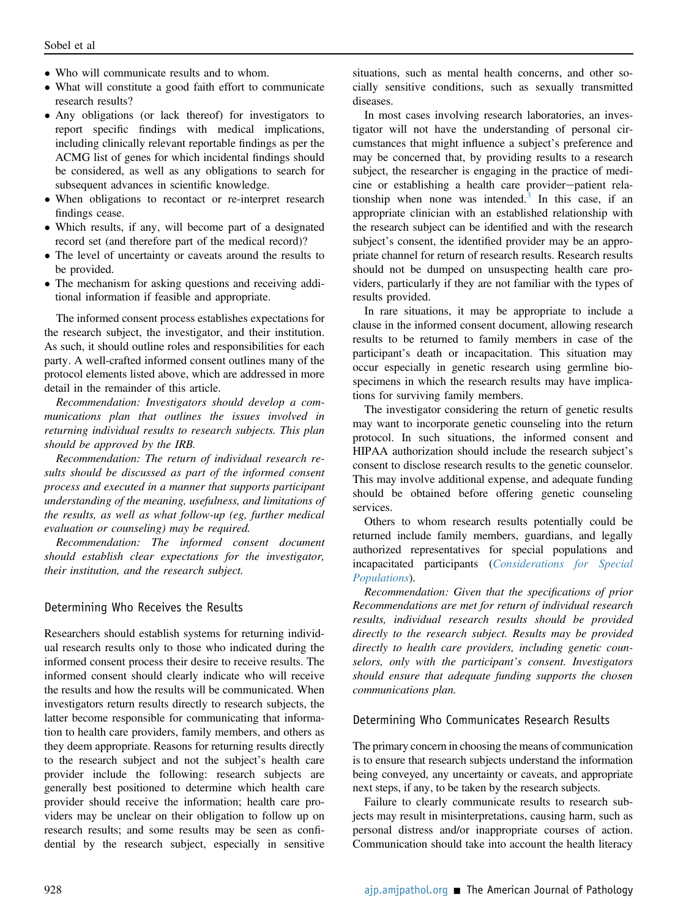- Who will communicate results and to whom.
- What will constitute a good faith effort to communicate research results?
- Any obligations (or lack thereof) for investigators to report specific findings with medical implications, including clinically relevant reportable findings as per the ACMG list of genes for which incidental findings should be considered, as well as any obligations to search for subsequent advances in scientific knowledge.
- When obligations to recontact or re-interpret research findings cease.
- Which results, if any, will become part of a designated record set (and therefore part of the medical record)?
- The level of uncertainty or caveats around the results to be provided.
- The mechanism for asking questions and receiving additional information if feasible and appropriate.

The informed consent process establishes expectations for the research subject, the investigator, and their institution. As such, it should outline roles and responsibilities for each party. A well-crafted informed consent outlines many of the protocol elements listed above, which are addressed in more detail in the remainder of this article.

Recommendation: Investigators should develop a communications plan that outlines the issues involved in returning individual results to research subjects. This plan should be approved by the IRB.

Recommendation: The return of individual research results should be discussed as part of the informed consent process and executed in a manner that supports participant understanding of the meaning, usefulness, and limitations of the results, as well as what follow-up (eg, further medical evaluation or counseling) may be required.

Recommendation: The informed consent document should establish clear expectations for the investigator, their institution, and the research subject.

#### Determining Who Receives the Results

Researchers should establish systems for returning individual research results only to those who indicated during the informed consent process their desire to receive results. The informed consent should clearly indicate who will receive the results and how the results will be communicated. When investigators return results directly to research subjects, the latter become responsible for communicating that information to health care providers, family members, and others as they deem appropriate. Reasons for returning results directly to the research subject and not the subject's health care provider include the following: research subjects are generally best positioned to determine which health care provider should receive the information; health care providers may be unclear on their obligation to follow up on research results; and some results may be seen as confidential by the research subject, especially in sensitive situations, such as mental health concerns, and other socially sensitive conditions, such as sexually transmitted diseases.

In most cases involving research laboratories, an investigator will not have the understanding of personal circumstances that might influence a subject's preference and may be concerned that, by providing results to a research subject, the researcher is engaging in the practice of medicine or establishing a health care provider-patient rela-tionship when none was intended.<sup>[3](#page-13-2)</sup> In this case, if an appropriate clinician with an established relationship with the research subject can be identified and with the research subject's consent, the identified provider may be an appropriate channel for return of research results. Research results should not be dumped on unsuspecting health care providers, particularly if they are not familiar with the types of results provided.

In rare situations, it may be appropriate to include a clause in the informed consent document, allowing research results to be returned to family members in case of the participant's death or incapacitation. This situation may occur especially in genetic research using germline biospecimens in which the research results may have implications for surviving family members.

The investigator considering the return of genetic results may want to incorporate genetic counseling into the return protocol. In such situations, the informed consent and HIPAA authorization should include the research subject's consent to disclose research results to the genetic counselor. This may involve additional expense, and adequate funding should be obtained before offering genetic counseling services.

Others to whom research results potentially could be returned include family members, guardians, and legally authorized representatives for special populations and incapacitated participants ([Considerations for Special](#page-12-0) [Populations](#page-12-0)).

Recommendation: Given that the specifications of prior Recommendations are met for return of individual research results, individual research results should be provided directly to the research subject. Results may be provided directly to health care providers, including genetic counselors, only with the participant's consent. Investigators should ensure that adequate funding supports the chosen communications plan.

#### Determining Who Communicates Research Results

The primary concern in choosing the means of communication is to ensure that research subjects understand the information being conveyed, any uncertainty or caveats, and appropriate next steps, if any, to be taken by the research subjects.

Failure to clearly communicate results to research subjects may result in misinterpretations, causing harm, such as personal distress and/or inappropriate courses of action. Communication should take into account the health literacy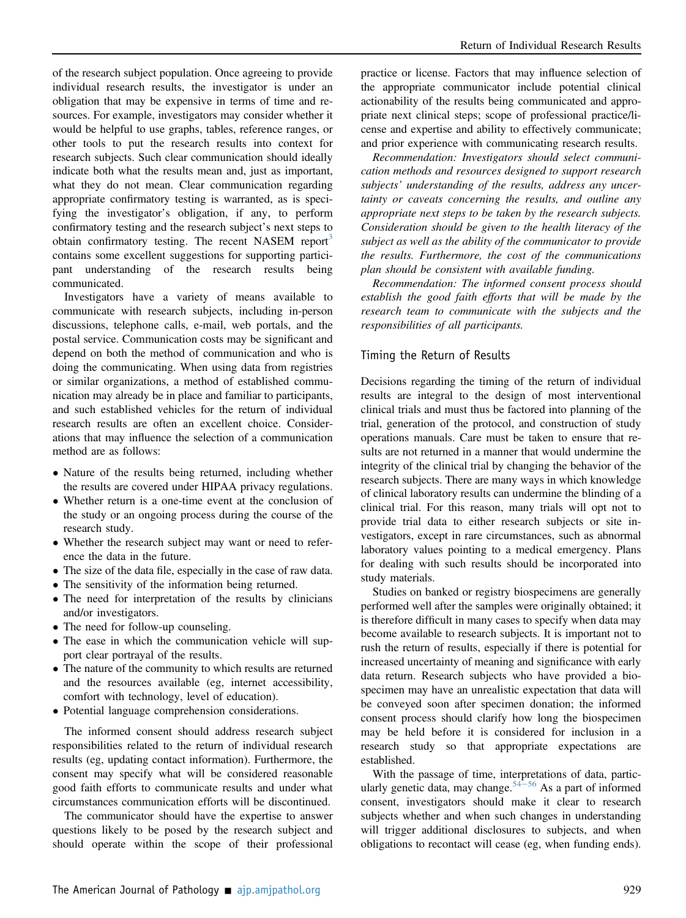of the research subject population. Once agreeing to provide individual research results, the investigator is under an obligation that may be expensive in terms of time and resources. For example, investigators may consider whether it would be helpful to use graphs, tables, reference ranges, or other tools to put the research results into context for research subjects. Such clear communication should ideally indicate both what the results mean and, just as important, what they do not mean. Clear communication regarding appropriate confirmatory testing is warranted, as is specifying the investigator's obligation, if any, to perform confirmatory testing and the research subject's next steps to obtain confirmatory testing. The recent NASEM report<sup>[3](#page-13-2)</sup> contains some excellent suggestions for supporting participant understanding of the research results being communicated.

Investigators have a variety of means available to communicate with research subjects, including in-person discussions, telephone calls, e-mail, web portals, and the postal service. Communication costs may be significant and depend on both the method of communication and who is doing the communicating. When using data from registries or similar organizations, a method of established communication may already be in place and familiar to participants, and such established vehicles for the return of individual research results are often an excellent choice. Considerations that may influence the selection of a communication method are as follows:

- Nature of the results being returned, including whether the results are covered under HIPAA privacy regulations.
- Whether return is a one-time event at the conclusion of the study or an ongoing process during the course of the research study.
- Whether the research subject may want or need to reference the data in the future.
- The size of the data file, especially in the case of raw data.
- The sensitivity of the information being returned.
- The need for interpretation of the results by clinicians and/or investigators.
- The need for follow-up counseling.
- The ease in which the communication vehicle will support clear portrayal of the results.
- The nature of the community to which results are returned and the resources available (eg, internet accessibility, comfort with technology, level of education).
- Potential language comprehension considerations.

The informed consent should address research subject responsibilities related to the return of individual research results (eg, updating contact information). Furthermore, the consent may specify what will be considered reasonable good faith efforts to communicate results and under what circumstances communication efforts will be discontinued.

The communicator should have the expertise to answer questions likely to be posed by the research subject and should operate within the scope of their professional

practice or license. Factors that may influence selection of the appropriate communicator include potential clinical actionability of the results being communicated and appropriate next clinical steps; scope of professional practice/license and expertise and ability to effectively communicate; and prior experience with communicating research results.

Recommendation: Investigators should select communication methods and resources designed to support research subjects' understanding of the results, address any uncertainty or caveats concerning the results, and outline any appropriate next steps to be taken by the research subjects. Consideration should be given to the health literacy of the subject as well as the ability of the communicator to provide the results. Furthermore, the cost of the communications plan should be consistent with available funding.

Recommendation: The informed consent process should establish the good faith efforts that will be made by the research team to communicate with the subjects and the responsibilities of all participants.

#### Timing the Return of Results

Decisions regarding the timing of the return of individual results are integral to the design of most interventional clinical trials and must thus be factored into planning of the trial, generation of the protocol, and construction of study operations manuals. Care must be taken to ensure that results are not returned in a manner that would undermine the integrity of the clinical trial by changing the behavior of the research subjects. There are many ways in which knowledge of clinical laboratory results can undermine the blinding of a clinical trial. For this reason, many trials will opt not to provide trial data to either research subjects or site investigators, except in rare circumstances, such as abnormal laboratory values pointing to a medical emergency. Plans for dealing with such results should be incorporated into study materials.

Studies on banked or registry biospecimens are generally performed well after the samples were originally obtained; it is therefore difficult in many cases to specify when data may become available to research subjects. It is important not to rush the return of results, especially if there is potential for increased uncertainty of meaning and significance with early data return. Research subjects who have provided a biospecimen may have an unrealistic expectation that data will be conveyed soon after specimen donation; the informed consent process should clarify how long the biospecimen may be held before it is considered for inclusion in a research study so that appropriate expectations are established.

With the passage of time, interpretations of data, partic-ularly genetic data, may change.<sup>[54](#page-15-10)–[56](#page-15-10)</sup> As a part of informed consent, investigators should make it clear to research subjects whether and when such changes in understanding will trigger additional disclosures to subjects, and when obligations to recontact will cease (eg, when funding ends).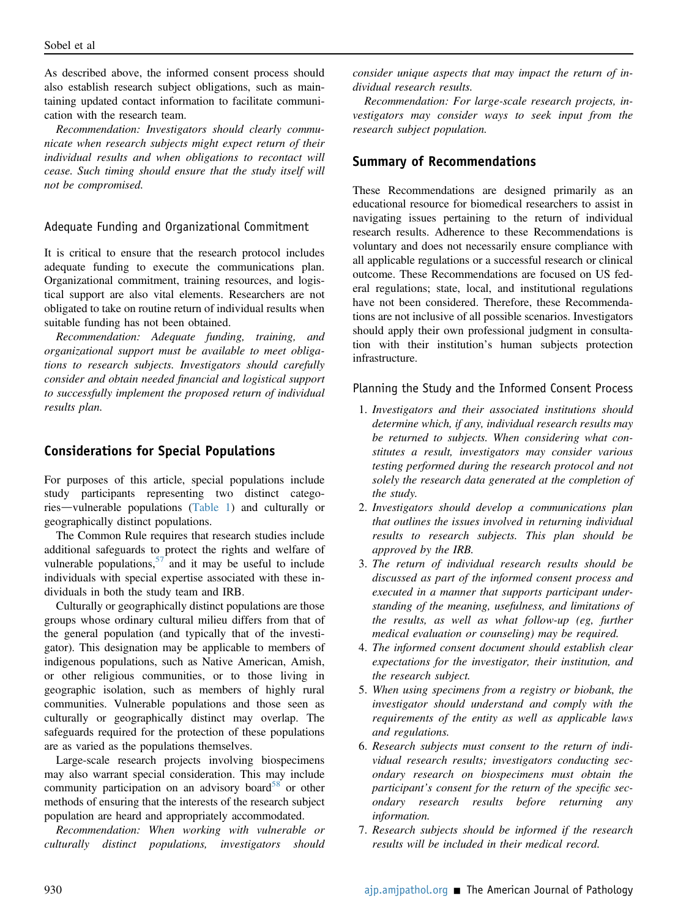As described above, the informed consent process should also establish research subject obligations, such as maintaining updated contact information to facilitate communication with the research team.

Recommendation: Investigators should clearly communicate when research subjects might expect return of their individual results and when obligations to recontact will cease. Such timing should ensure that the study itself will not be compromised.

#### Adequate Funding and Organizational Commitment

It is critical to ensure that the research protocol includes adequate funding to execute the communications plan. Organizational commitment, training resources, and logistical support are also vital elements. Researchers are not obligated to take on routine return of individual results when suitable funding has not been obtained.

Recommendation: Adequate funding, training, and organizational support must be available to meet obligations to research subjects. Investigators should carefully consider and obtain needed financial and logistical support to successfully implement the proposed return of individual results plan.

#### <span id="page-12-0"></span>Considerations for Special Populations

For purposes of this article, special populations include study participants representing two distinct catego-ries—vulnerable populations [\(Table 1](#page-2-0)) and culturally or geographically distinct populations.

The Common Rule requires that research studies include additional safeguards to protect the rights and welfare of vulnerable populations,  $57$  and it may be useful to include individuals with special expertise associated with these individuals in both the study team and IRB.

Culturally or geographically distinct populations are those groups whose ordinary cultural milieu differs from that of the general population (and typically that of the investigator). This designation may be applicable to members of indigenous populations, such as Native American, Amish, or other religious communities, or to those living in geographic isolation, such as members of highly rural communities. Vulnerable populations and those seen as culturally or geographically distinct may overlap. The safeguards required for the protection of these populations are as varied as the populations themselves.

Large-scale research projects involving biospecimens may also warrant special consideration. This may include community participation on an advisory board<sup>[58](#page-15-12)</sup> or other methods of ensuring that the interests of the research subject population are heard and appropriately accommodated.

Recommendation: When working with vulnerable or culturally distinct populations, investigators should

consider unique aspects that may impact the return of individual research results.

Recommendation: For large-scale research projects, investigators may consider ways to seek input from the research subject population.

#### Summary of Recommendations

These Recommendations are designed primarily as an educational resource for biomedical researchers to assist in navigating issues pertaining to the return of individual research results. Adherence to these Recommendations is voluntary and does not necessarily ensure compliance with all applicable regulations or a successful research or clinical outcome. These Recommendations are focused on US federal regulations; state, local, and institutional regulations have not been considered. Therefore, these Recommendations are not inclusive of all possible scenarios. Investigators should apply their own professional judgment in consultation with their institution's human subjects protection infrastructure.

#### Planning the Study and the Informed Consent Process

- 1. Investigators and their associated institutions should determine which, if any, individual research results may be returned to subjects. When considering what constitutes a result, investigators may consider various testing performed during the research protocol and not solely the research data generated at the completion of the study.
- 2. Investigators should develop a communications plan that outlines the issues involved in returning individual results to research subjects. This plan should be approved by the IRB.
- 3. The return of individual research results should be discussed as part of the informed consent process and executed in a manner that supports participant understanding of the meaning, usefulness, and limitations of the results, as well as what follow-up (eg, further medical evaluation or counseling) may be required.
- 4. The informed consent document should establish clear expectations for the investigator, their institution, and the research subject.
- 5. When using specimens from a registry or biobank, the investigator should understand and comply with the requirements of the entity as well as applicable laws and regulations.
- 6. Research subjects must consent to the return of individual research results; investigators conducting secondary research on biospecimens must obtain the participant's consent for the return of the specific secondary research results before returning any information.
- 7. Research subjects should be informed if the research results will be included in their medical record.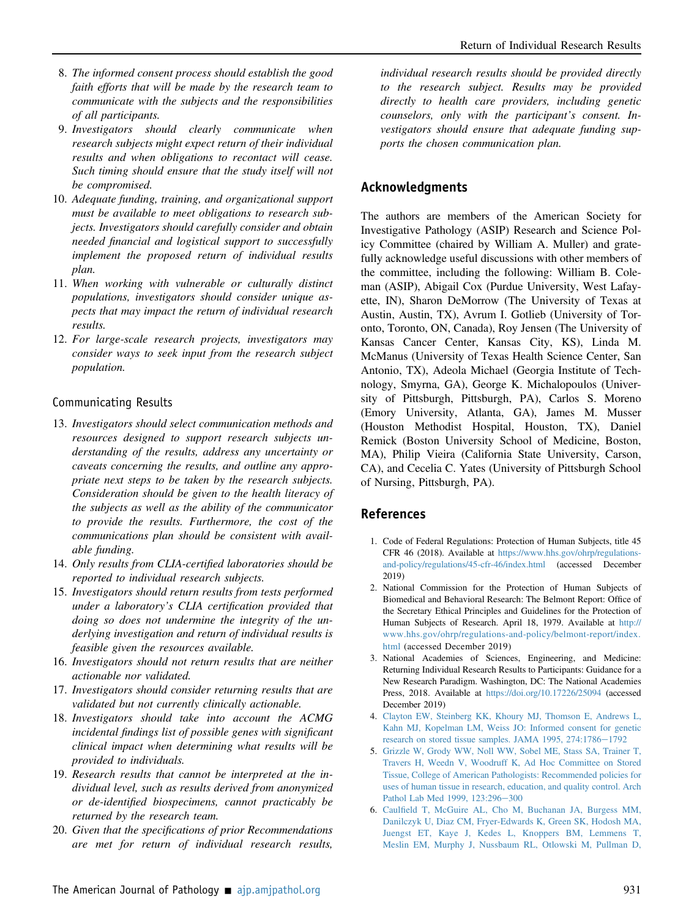- 8. The informed consent process should establish the good faith efforts that will be made by the research team to communicate with the subjects and the responsibilities of all participants.
- 9. Investigators should clearly communicate when research subjects might expect return of their individual results and when obligations to recontact will cease. Such timing should ensure that the study itself will not be compromised.
- 10. Adequate funding, training, and organizational support must be available to meet obligations to research subjects. Investigators should carefully consider and obtain needed financial and logistical support to successfully implement the proposed return of individual results plan.
- 11. When working with vulnerable or culturally distinct populations, investigators should consider unique aspects that may impact the return of individual research results.
- 12. For large-scale research projects, investigators may consider ways to seek input from the research subject population.

## Communicating Results

- 13. Investigators should select communication methods and resources designed to support research subjects understanding of the results, address any uncertainty or caveats concerning the results, and outline any appropriate next steps to be taken by the research subjects. Consideration should be given to the health literacy of the subjects as well as the ability of the communicator to provide the results. Furthermore, the cost of the communications plan should be consistent with available funding.
- 14. Only results from CLIA-certified laboratories should be reported to individual research subjects.
- 15. Investigators should return results from tests performed under a laboratory's CLIA certification provided that doing so does not undermine the integrity of the underlying investigation and return of individual results is feasible given the resources available.
- 16. Investigators should not return results that are neither actionable nor validated.
- 17. Investigators should consider returning results that are validated but not currently clinically actionable.
- 18. Investigators should take into account the ACMG incidental findings list of possible genes with significant clinical impact when determining what results will be provided to individuals.
- 19. Research results that cannot be interpreted at the individual level, such as results derived from anonymized or de-identified biospecimens, cannot practicably be returned by the research team.
- 20. Given that the specifications of prior Recommendations are met for return of individual research results,

individual research results should be provided directly to the research subject. Results may be provided directly to health care providers, including genetic counselors, only with the participant's consent. Investigators should ensure that adequate funding supports the chosen communication plan.

## Acknowledgments

The authors are members of the American Society for Investigative Pathology (ASIP) Research and Science Policy Committee (chaired by William A. Muller) and gratefully acknowledge useful discussions with other members of the committee, including the following: William B. Coleman (ASIP), Abigail Cox (Purdue University, West Lafayette, IN), Sharon DeMorrow (The University of Texas at Austin, Austin, TX), Avrum I. Gotlieb (University of Toronto, Toronto, ON, Canada), Roy Jensen (The University of Kansas Cancer Center, Kansas City, KS), Linda M. McManus (University of Texas Health Science Center, San Antonio, TX), Adeola Michael (Georgia Institute of Technology, Smyrna, GA), George K. Michalopoulos (University of Pittsburgh, Pittsburgh, PA), Carlos S. Moreno (Emory University, Atlanta, GA), James M. Musser (Houston Methodist Hospital, Houston, TX), Daniel Remick (Boston University School of Medicine, Boston, MA), Philip Vieira (California State University, Carson, CA), and Cecelia C. Yates (University of Pittsburgh School of Nursing, Pittsburgh, PA).

## References

- <span id="page-13-0"></span>1. Code of Federal Regulations: Protection of Human Subjects, title 45 CFR 46 (2018). Available at [https://www.hhs.gov/ohrp/regulations](https://www.hhs.gov/ohrp/regulations-and-policy/regulations/45-cfr-46/index.html)[and-policy/regulations/45-cfr-46/index.html](https://www.hhs.gov/ohrp/regulations-and-policy/regulations/45-cfr-46/index.html) (accessed December 2019)
- <span id="page-13-3"></span>2. National Commission for the Protection of Human Subjects of Biomedical and Behavioral Research: The Belmont Report: Office of the Secretary Ethical Principles and Guidelines for the Protection of Human Subjects of Research. April 18, 1979. Available at [http://](http://www.hhs.gov/ohrp/regulations-and-policy/belmont-report/index.html) [www.hhs.gov/ohrp/regulations-and-policy/belmont-report/index.](http://www.hhs.gov/ohrp/regulations-and-policy/belmont-report/index.html) [html](http://www.hhs.gov/ohrp/regulations-and-policy/belmont-report/index.html) (accessed December 2019)
- <span id="page-13-2"></span>3. National Academies of Sciences, Engineering, and Medicine: Returning Individual Research Results to Participants: Guidance for a New Research Paradigm. Washington, DC: The National Academies Press, 2018. Available at <https://doi.org/10.17226/25094> (accessed December 2019)
- <span id="page-13-1"></span>4. [Clayton EW, Steinberg KK, Khoury MJ, Thomson E, Andrews L,](http://refhub.elsevier.com/S0002-9440(20)30094-8/sref4) [Kahn MJ, Kopelman LM, Weiss JO: Informed consent for genetic](http://refhub.elsevier.com/S0002-9440(20)30094-8/sref4) [research on stored tissue samples. JAMA 1995, 274:1786](http://refhub.elsevier.com/S0002-9440(20)30094-8/sref4)-[1792](http://refhub.elsevier.com/S0002-9440(20)30094-8/sref4)
- 5. [Grizzle W, Grody WW, Noll WW, Sobel ME, Stass SA, Trainer T,](http://refhub.elsevier.com/S0002-9440(20)30094-8/sref5) [Travers H, Weedn V, Woodruff K, Ad Hoc Committee on Stored](http://refhub.elsevier.com/S0002-9440(20)30094-8/sref5) [Tissue, College of American Pathologists: Recommended policies for](http://refhub.elsevier.com/S0002-9440(20)30094-8/sref5) [uses of human tissue in research, education, and quality control. Arch](http://refhub.elsevier.com/S0002-9440(20)30094-8/sref5) [Pathol Lab Med 1999, 123:296](http://refhub.elsevier.com/S0002-9440(20)30094-8/sref5)-[300](http://refhub.elsevier.com/S0002-9440(20)30094-8/sref5)
- 6. Caulfi[eld T, McGuire AL, Cho M, Buchanan JA, Burgess MM,](http://refhub.elsevier.com/S0002-9440(20)30094-8/sref6) [Danilczyk U, Diaz CM, Fryer-Edwards K, Green SK, Hodosh MA,](http://refhub.elsevier.com/S0002-9440(20)30094-8/sref6) [Juengst ET, Kaye J, Kedes L, Knoppers BM, Lemmens T,](http://refhub.elsevier.com/S0002-9440(20)30094-8/sref6) [Meslin EM, Murphy J, Nussbaum RL, Otlowski M, Pullman D,](http://refhub.elsevier.com/S0002-9440(20)30094-8/sref6)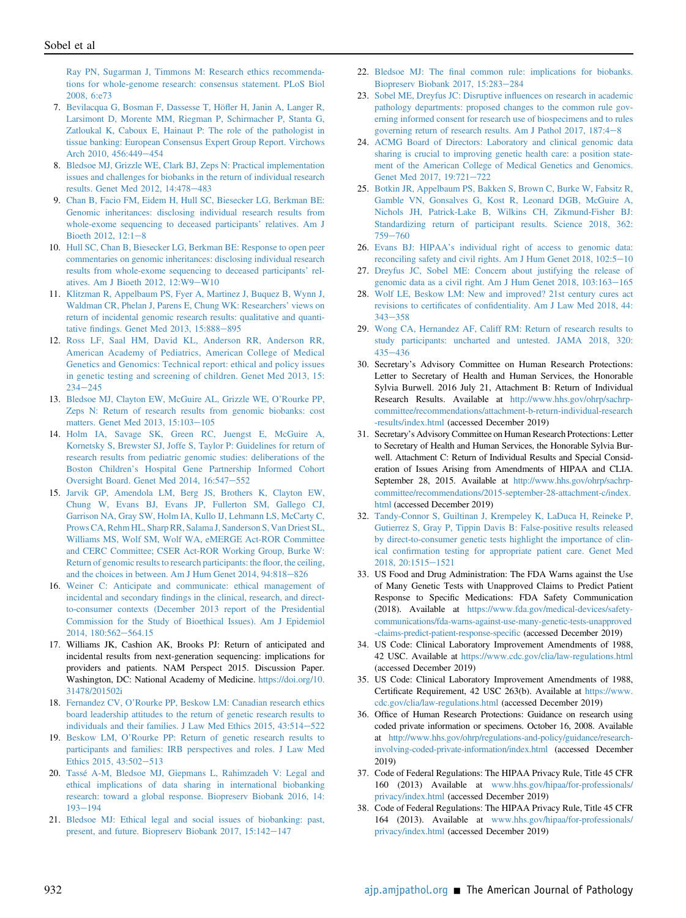[Ray PN, Sugarman J, Timmons M: Research ethics recommenda](http://refhub.elsevier.com/S0002-9440(20)30094-8/sref6)[tions for whole-genome research: consensus statement. PLoS Biol](http://refhub.elsevier.com/S0002-9440(20)30094-8/sref6) [2008, 6:e73](http://refhub.elsevier.com/S0002-9440(20)30094-8/sref6)

- 7. [Bevilacqua G, Bosman F, Dassesse T, Hö](http://refhub.elsevier.com/S0002-9440(20)30094-8/sref7)fler H, Janin A, Langer R, [Larsimont D, Morente MM, Riegman P, Schirmacher P, Stanta G,](http://refhub.elsevier.com/S0002-9440(20)30094-8/sref7) [Zatloukal K, Caboux E, Hainaut P: The role of the pathologist in](http://refhub.elsevier.com/S0002-9440(20)30094-8/sref7) [tissue banking: European Consensus Expert Group Report. Virchows](http://refhub.elsevier.com/S0002-9440(20)30094-8/sref7) [Arch 2010, 456:449](http://refhub.elsevier.com/S0002-9440(20)30094-8/sref7)-[454](http://refhub.elsevier.com/S0002-9440(20)30094-8/sref7)
- <span id="page-14-2"></span>8. [Bledsoe MJ, Grizzle WE, Clark BJ, Zeps N: Practical implementation](http://refhub.elsevier.com/S0002-9440(20)30094-8/sref8) [issues and challenges for biobanks in the return of individual research](http://refhub.elsevier.com/S0002-9440(20)30094-8/sref8) [results. Genet Med 2012, 14:478](http://refhub.elsevier.com/S0002-9440(20)30094-8/sref8)-[483](http://refhub.elsevier.com/S0002-9440(20)30094-8/sref8)
- 9. [Chan B, Facio FM, Eidem H, Hull SC, Biesecker LG, Berkman BE:](http://refhub.elsevier.com/S0002-9440(20)30094-8/sref9) [Genomic inheritances: disclosing individual research results from](http://refhub.elsevier.com/S0002-9440(20)30094-8/sref9) [whole-exome sequencing to deceased participants](http://refhub.elsevier.com/S0002-9440(20)30094-8/sref9)' relatives. Am J Bioeth 2012,  $12:1-8$  $12:1-8$
- 10. [Hull SC, Chan B, Biesecker LG, Berkman BE: Response to open peer](http://refhub.elsevier.com/S0002-9440(20)30094-8/sref10) [commentaries on genomic inheritances: disclosing individual research](http://refhub.elsevier.com/S0002-9440(20)30094-8/sref10) [results from whole-exome sequencing to deceased participants](http://refhub.elsevier.com/S0002-9440(20)30094-8/sref10)' relatives. Am J Bioeth 2012,  $12:W9-W10$  $12:W9-W10$
- 11. [Klitzman R, Appelbaum PS, Fyer A, Martinez J, Buquez B, Wynn J,](http://refhub.elsevier.com/S0002-9440(20)30094-8/sref11) [Waldman CR, Phelan J, Parens E, Chung WK: Researchers](http://refhub.elsevier.com/S0002-9440(20)30094-8/sref11)' views on [return of incidental genomic research results: qualitative and quanti](http://refhub.elsevier.com/S0002-9440(20)30094-8/sref11)tative fi[ndings. Genet Med 2013, 15:888](http://refhub.elsevier.com/S0002-9440(20)30094-8/sref11)-[895](http://refhub.elsevier.com/S0002-9440(20)30094-8/sref11)
- 12. [Ross LF, Saal HM, David KL, Anderson RR, Anderson RR,](http://refhub.elsevier.com/S0002-9440(20)30094-8/sref12) [American Academy of Pediatrics, American College of Medical](http://refhub.elsevier.com/S0002-9440(20)30094-8/sref12) [Genetics and Genomics: Technical report: ethical and policy issues](http://refhub.elsevier.com/S0002-9440(20)30094-8/sref12) [in genetic testing and screening of children. Genet Med 2013, 15:](http://refhub.elsevier.com/S0002-9440(20)30094-8/sref12)  $234 - 245$  $234 - 245$  $234 - 245$
- 13. [Bledsoe MJ, Clayton EW, McGuire AL, Grizzle WE, O](http://refhub.elsevier.com/S0002-9440(20)30094-8/sref13)'Rourke PP, [Zeps N: Return of research results from genomic biobanks: cost](http://refhub.elsevier.com/S0002-9440(20)30094-8/sref13) [matters. Genet Med 2013, 15:103](http://refhub.elsevier.com/S0002-9440(20)30094-8/sref13)-[105](http://refhub.elsevier.com/S0002-9440(20)30094-8/sref13)
- 14. [Holm IA, Savage SK, Green RC, Juengst E, McGuire A,](http://refhub.elsevier.com/S0002-9440(20)30094-8/sref14) [Kornetsky S, Brewster SJ, Joffe S, Taylor P: Guidelines for return of](http://refhub.elsevier.com/S0002-9440(20)30094-8/sref14) [research results from pediatric genomic studies: deliberations of the](http://refhub.elsevier.com/S0002-9440(20)30094-8/sref14) Boston Children'[s Hospital Gene Partnership Informed Cohort](http://refhub.elsevier.com/S0002-9440(20)30094-8/sref14) [Oversight Board. Genet Med 2014, 16:547](http://refhub.elsevier.com/S0002-9440(20)30094-8/sref14)-[552](http://refhub.elsevier.com/S0002-9440(20)30094-8/sref14)
- 15. [Jarvik GP, Amendola LM, Berg JS, Brothers K, Clayton EW,](http://refhub.elsevier.com/S0002-9440(20)30094-8/sref15) [Chung W, Evans BJ, Evans JP, Fullerton SM, Gallego CJ,](http://refhub.elsevier.com/S0002-9440(20)30094-8/sref15) [Garrison NA, Gray SW, Holm IA, Kullo IJ, Lehmann LS, McCarty C,](http://refhub.elsevier.com/S0002-9440(20)30094-8/sref15) [Prows CA, Rehm HL, Sharp RR, Salama J, Sanderson S, Van Driest SL,](http://refhub.elsevier.com/S0002-9440(20)30094-8/sref15) [Williams MS, Wolf SM, Wolf WA, eMERGE Act-ROR Committee](http://refhub.elsevier.com/S0002-9440(20)30094-8/sref15) [and CERC Committee; CSER Act-ROR Working Group, Burke W:](http://refhub.elsevier.com/S0002-9440(20)30094-8/sref15) [Return of genomic results to research participants: the](http://refhub.elsevier.com/S0002-9440(20)30094-8/sref15) floor, the ceiling, [and the choices in between. Am J Hum Genet 2014, 94:818](http://refhub.elsevier.com/S0002-9440(20)30094-8/sref15)-[826](http://refhub.elsevier.com/S0002-9440(20)30094-8/sref15)
- 16. [Weiner C: Anticipate and communicate: ethical management of](http://refhub.elsevier.com/S0002-9440(20)30094-8/sref16) incidental and secondary fi[ndings in the clinical, research, and direct](http://refhub.elsevier.com/S0002-9440(20)30094-8/sref16)[to-consumer contexts \(December 2013 report of the Presidential](http://refhub.elsevier.com/S0002-9440(20)30094-8/sref16) [Commission for the Study of Bioethical Issues\). Am J Epidemiol](http://refhub.elsevier.com/S0002-9440(20)30094-8/sref16) [2014, 180:562](http://refhub.elsevier.com/S0002-9440(20)30094-8/sref16)-[564.15](http://refhub.elsevier.com/S0002-9440(20)30094-8/sref16)
- 17. Williams JK, Cashion AK, Brooks PJ: Return of anticipated and incidental results from next-generation sequencing: implications for providers and patients. NAM Perspect 2015. Discussion Paper. Washington, DC: National Academy of Medicine. [https://doi.org/10.](https://doi.org/10.31478/201502i) [31478/201502i](https://doi.org/10.31478/201502i)
- 18. Fernandez CV, O'[Rourke PP, Beskow LM: Canadian research ethics](http://refhub.elsevier.com/S0002-9440(20)30094-8/sref18) [board leadership attitudes to the return of genetic research results to](http://refhub.elsevier.com/S0002-9440(20)30094-8/sref18) individuals and their families. J Law Med Ethics  $2015$ ,  $43:514-522$  $43:514-522$
- 19. Beskow LM, O'[Rourke PP: Return of genetic research results to](http://refhub.elsevier.com/S0002-9440(20)30094-8/sref19) [participants and families: IRB perspectives and roles. J Law Med](http://refhub.elsevier.com/S0002-9440(20)30094-8/sref19) [Ethics 2015, 43:502](http://refhub.elsevier.com/S0002-9440(20)30094-8/sref19)-[513](http://refhub.elsevier.com/S0002-9440(20)30094-8/sref19)
- 20. [Tassé A-M, Bledsoe MJ, Giepmans L, Rahimzadeh V: Legal and](http://refhub.elsevier.com/S0002-9440(20)30094-8/sref20) [ethical implications of data sharing in international biobanking](http://refhub.elsevier.com/S0002-9440(20)30094-8/sref20) [research: toward a global response. Biopreserv Biobank 2016, 14:](http://refhub.elsevier.com/S0002-9440(20)30094-8/sref20) [193](http://refhub.elsevier.com/S0002-9440(20)30094-8/sref20)-[194](http://refhub.elsevier.com/S0002-9440(20)30094-8/sref20)
- 21. [Bledsoe MJ: Ethical legal and social issues of biobanking: past,](http://refhub.elsevier.com/S0002-9440(20)30094-8/sref21) [present, and future. Biopreserv Biobank 2017, 15:142](http://refhub.elsevier.com/S0002-9440(20)30094-8/sref21)-[147](http://refhub.elsevier.com/S0002-9440(20)30094-8/sref21)
- 22. Bledsoe MJ: The fi[nal common rule: implications for biobanks.](http://refhub.elsevier.com/S0002-9440(20)30094-8/sref22) [Biopreserv Biobank 2017, 15:283](http://refhub.elsevier.com/S0002-9440(20)30094-8/sref22)-[284](http://refhub.elsevier.com/S0002-9440(20)30094-8/sref22)
- 23. [Sobel ME, Dreyfus JC: Disruptive in](http://refhub.elsevier.com/S0002-9440(20)30094-8/sref23)fluences on research in academic [pathology departments: proposed changes to the common rule gov](http://refhub.elsevier.com/S0002-9440(20)30094-8/sref23)[erning informed consent for research use of biospecimens and to rules](http://refhub.elsevier.com/S0002-9440(20)30094-8/sref23) governing return of research results. Am J Pathol 2017,  $187:4-8$  $187:4-8$  $187:4-8$
- 24. [ACMG Board of Directors: Laboratory and clinical genomic data](http://refhub.elsevier.com/S0002-9440(20)30094-8/sref24) [sharing is crucial to improving genetic health care: a position state](http://refhub.elsevier.com/S0002-9440(20)30094-8/sref24)[ment of the American College of Medical Genetics and Genomics.](http://refhub.elsevier.com/S0002-9440(20)30094-8/sref24) [Genet Med 2017, 19:721](http://refhub.elsevier.com/S0002-9440(20)30094-8/sref24)-[722](http://refhub.elsevier.com/S0002-9440(20)30094-8/sref24)
- 25. [Botkin JR, Appelbaum PS, Bakken S, Brown C, Burke W, Fabsitz R,](http://refhub.elsevier.com/S0002-9440(20)30094-8/sref25) [Gamble VN, Gonsalves G, Kost R, Leonard DGB, McGuire A,](http://refhub.elsevier.com/S0002-9440(20)30094-8/sref25) [Nichols JH, Patrick-Lake B, Wilkins CH, Zikmund-Fisher BJ:](http://refhub.elsevier.com/S0002-9440(20)30094-8/sref25) [Standardizing return of participant results. Science 2018, 362:](http://refhub.elsevier.com/S0002-9440(20)30094-8/sref25) [759](http://refhub.elsevier.com/S0002-9440(20)30094-8/sref25)-[760](http://refhub.elsevier.com/S0002-9440(20)30094-8/sref25)
- 26. Evans BJ: HIPAA'[s individual right of access to genomic data:](http://refhub.elsevier.com/S0002-9440(20)30094-8/sref26) reconciling safety and civil rights. Am J Hum Genet  $2018$ ,  $102:5-10$  $102:5-10$
- 27. [Dreyfus JC, Sobel ME: Concern about justifying the release of](http://refhub.elsevier.com/S0002-9440(20)30094-8/sref27) [genomic data as a civil right. Am J Hum Genet 2018, 103:163](http://refhub.elsevier.com/S0002-9440(20)30094-8/sref27)-[165](http://refhub.elsevier.com/S0002-9440(20)30094-8/sref27)
- 28. [Wolf LE, Beskow LM: New and improved? 21st century cures act](http://refhub.elsevier.com/S0002-9440(20)30094-8/sref28) revisions to certificates of confi[dentiality. Am J Law Med 2018, 44:](http://refhub.elsevier.com/S0002-9440(20)30094-8/sref28)  $343 - 358$  $343 - 358$  $343 - 358$
- <span id="page-14-3"></span>29. [Wong CA, Hernandez AF, Califf RM: Return of research results to](http://refhub.elsevier.com/S0002-9440(20)30094-8/sref29) [study participants: uncharted and untested. JAMA 2018, 320:](http://refhub.elsevier.com/S0002-9440(20)30094-8/sref29)  $435 - 436$  $435 - 436$  $435 - 436$
- <span id="page-14-0"></span>30. Secretary's Advisory Committee on Human Research Protections: Letter to Secretary of Health and Human Services, the Honorable Sylvia Burwell. 2016 July 21, Attachment B: Return of Individual Research Results. Available at [http://www.hhs.gov/ohrp/sachrp](http://www.hhs.gov/ohrp/sachrp-committee/recommendations/attachment-b-return-individual-research-results/index.html)[committee/recommendations/attachment-b-return-individual-research](http://www.hhs.gov/ohrp/sachrp-committee/recommendations/attachment-b-return-individual-research-results/index.html) [-results/index.html](http://www.hhs.gov/ohrp/sachrp-committee/recommendations/attachment-b-return-individual-research-results/index.html) (accessed December 2019)
- <span id="page-14-1"></span>31. Secretary's Advisory Committee on Human Research Protections: Letter to Secretary of Health and Human Services, the Honorable Sylvia Burwell. Attachment C: Return of Individual Results and Special Consideration of Issues Arising from Amendments of HIPAA and CLIA. September 28, 2015. Available at [http://www.hhs.gov/ohrp/sachrp](http://www.hhs.gov/ohrp/sachrp-committee/recommendations/2015-september-28-attachment-c/index.html)[committee/recommendations/2015-september-28-attachment-c/index.](http://www.hhs.gov/ohrp/sachrp-committee/recommendations/2015-september-28-attachment-c/index.html) [html](http://www.hhs.gov/ohrp/sachrp-committee/recommendations/2015-september-28-attachment-c/index.html) (accessed December 2019)
- <span id="page-14-4"></span>32. [Tandy-Connor S, Guiltinan J, Krempeley K, LaDuca H, Reineke P,](http://refhub.elsevier.com/S0002-9440(20)30094-8/sref32) [Gutierrez S, Gray P, Tippin Davis B: False-positive results released](http://refhub.elsevier.com/S0002-9440(20)30094-8/sref32) [by direct-to-consumer genetic tests highlight the importance of clin](http://refhub.elsevier.com/S0002-9440(20)30094-8/sref32)ical confi[rmation testing for appropriate patient care. Genet Med](http://refhub.elsevier.com/S0002-9440(20)30094-8/sref32) [2018, 20:1515](http://refhub.elsevier.com/S0002-9440(20)30094-8/sref32)-[1521](http://refhub.elsevier.com/S0002-9440(20)30094-8/sref32)
- <span id="page-14-5"></span>33. US Food and Drug Administration: The FDA Warns against the Use of Many Genetic Tests with Unapproved Claims to Predict Patient Response to Specific Medications: FDA Safety Communication (2018). Available at [https://www.fda.gov/medical-devices/safety](https://www.fda.gov/medical-devices/safety-communications/fda-warns-against-use-many-genetic-tests-unapproved-claims-predict-patient-response-specific)[communications/fda-warns-against-use-many-genetic-tests-unapproved](https://www.fda.gov/medical-devices/safety-communications/fda-warns-against-use-many-genetic-tests-unapproved-claims-predict-patient-response-specific) [-claims-predict-patient-response-speci](https://www.fda.gov/medical-devices/safety-communications/fda-warns-against-use-many-genetic-tests-unapproved-claims-predict-patient-response-specific)fic (accessed December 2019)
- <span id="page-14-6"></span>34. US Code: Clinical Laboratory Improvement Amendments of 1988, 42 USC. Available at <https://www.cdc.gov/clia/law-regulations.html> (accessed December 2019)
- <span id="page-14-7"></span>35. US Code: Clinical Laboratory Improvement Amendments of 1988, Certificate Requirement, 42 USC 263(b). Available at [https://www.](https://www.cdc.gov/clia/law-regulations.html) [cdc.gov/clia/law-regulations.html](https://www.cdc.gov/clia/law-regulations.html) (accessed December 2019)
- <span id="page-14-8"></span>36. Office of Human Research Protections: Guidance on research using coded private information or specimens. October 16, 2008. Available at [http://www.hhs.gov/ohrp/regulations-and-policy/guidance/research](http://www.hhs.gov/ohrp/regulations-and-policy/guidance/research-involving-coded-private-information/index.html)[involving-coded-private-information/index.html](http://www.hhs.gov/ohrp/regulations-and-policy/guidance/research-involving-coded-private-information/index.html) (accessed December 2019)
- <span id="page-14-9"></span>37. Code of Federal Regulations: The HIPAA Privacy Rule, Title 45 CFR 160 (2013) Available at [www.hhs.gov/hipaa/for-professionals/](http://www.hhs.gov/hipaa/for-professionals/privacy/index.html) [privacy/index.html](http://www.hhs.gov/hipaa/for-professionals/privacy/index.html) (accessed December 2019)
- <span id="page-14-10"></span>38. Code of Federal Regulations: The HIPAA Privacy Rule, Title 45 CFR 164 (2013). Available at [www.hhs.gov/hipaa/for-professionals/](http://www.hhs.gov/hipaa/for-professionals/privacy/index.html) [privacy/index.html](http://www.hhs.gov/hipaa/for-professionals/privacy/index.html) (accessed December 2019)